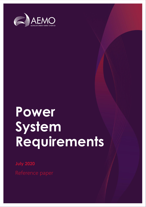

# **Power System Requirements**

**July 2020**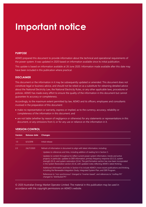## **Important notice**

#### **PURPOSE**

AEMO prepared this document to provide information about the technical and operational requirements of the power system. It was updated in 2020 based on information available since its initial publication.

This update is based on information available at 26 June 2020. Information made available after this date may have been included in this publication where practical.

#### **DISCLAIMER**

This document or the information in it may be subsequently updated or amended. This document does not constitute legal or business advice, and should not be relied on as a substitute for obtaining detailed advice about the National Electricity Law, the National Electricity Rules, or any other applicable laws, procedures or policies. AEMO has made every effort to ensure the quality of the information in this document but cannot guarantee its accuracy or completeness.

Accordingly, to the maximum extent permitted by law, AEMO and its officers, employees and consultants involved in the preparation of this document:

- make no representation or warranty, express or implied, as to the currency, accuracy, reliability or completeness of the information in this document; and
- are not liable (whether by reason of negligence or otherwise) for any statements or representations in this document, or any omissions from it, or for any use or reliance on the information in it.

| <b>Version</b> | Release date | <b>Changes</b>                                                                                                                                                                                                                                                                                                                                                                                              |
|----------------|--------------|-------------------------------------------------------------------------------------------------------------------------------------------------------------------------------------------------------------------------------------------------------------------------------------------------------------------------------------------------------------------------------------------------------------|
| 1.0            | 6/3/2018     | Initial release                                                                                                                                                                                                                                                                                                                                                                                             |
| 2.0            | 24//7/2020   | Refresh of information in document to align with latest information, including:<br>Updates to references and links, including addition of reading list in Section 5.                                                                                                                                                                                                                                        |
|                |              | Updates to content throughout to reflect current power system information, trends and active<br>projects; in particular, updates to DER information, primary frequency response (S3.2.2), system<br>strength (S3.3), and system restoration (S3.4). The grid formation section has now been incorporated<br>in the System Restoration section (S3.4), with updated notes reflecting AEMO's latest thinking. |
|                |              | Additional information and links in Section 4 to include AEMO's more recent publications and thinking,<br>including the Renewable Integration Study, Integrated System Plan, and DER Program.                                                                                                                                                                                                               |
|                |              | References to "non-synchronous" changed to "inverter-based", and references to "rooftop PV"<br>changed to "distributed PV".                                                                                                                                                                                                                                                                                 |

#### **VERSION CONTROL**

© 2020 Australian Energy Market Operator Limited. The material in this publication may be used in accordance with the [copyright permissions on AEMO's website](http://aemo.com.au/Privacy_and_Legal_Notices/Copyright_Permissions_Notice).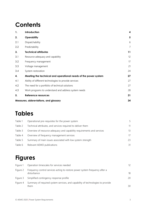## **Contents**

| 1.  | Introduction                                                    | 4              |
|-----|-----------------------------------------------------------------|----------------|
| 2.  | <b>Operability</b>                                              | 5              |
| 2.1 | Dispatchability                                                 | 6              |
| 2.2 | Predictability                                                  | $\overline{7}$ |
| 3.  | <b>Technical attributes</b>                                     | 11             |
| 3.1 | Resource adequacy and capability                                | 12             |
| 3.2 | Frequency management                                            | 17             |
| 3.3 | Voltage management                                              | 21             |
| 3.4 | System restoration                                              | 24             |
| 4.  | Meeting the technical and operational needs of the power system | 27             |
| 4.1 | Ability of different technologies to provide services           | 27             |
| 4.2 | The need for a portfolio of technical solutions                 | 27             |
| 4.3 | Work programs to understand and address system needs            | 28             |
| 5.  | Reference resources                                             | 31             |
|     | Measures, abbreviations, and glossary                           | 34             |

## **Tables**

| Table 1 | Operational pre-requisites for the power system                        | 5  |
|---------|------------------------------------------------------------------------|----|
| Table 2 | Technical attributes, and services required to deliver them            | 11 |
| Table 3 | Overview of resource adequacy and capability requirements and services | 13 |
| Table 4 | Overview of frequency management services                              | 17 |
| Table 5 | Summary of main issues associated with low system strength             | 23 |
| Table 6 | Relevant AEMO publications                                             | 31 |

## **Figures**

| Figure 1 | Operation timescales for services needed                                                   | 12 |
|----------|--------------------------------------------------------------------------------------------|----|
| Figure 2 | Frequency control services acting to restore power system frequency after a<br>disturbance | 18 |
| Figure 3 | Simplified contingency response profile                                                    | 20 |
| Figure 4 | Summary of required system services, and capability of technologies to provide<br>them     | 30 |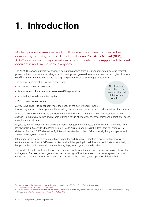# <span id="page-3-0"></span>**1. Introduction**

Modern **power systems** are giant, multi-faceted machines. To operate the complex 'system of systems' in Australia's **National Electricity Market (NEM)**, AEMO oversees in aggregate millions of separate electricity **supply** and **demand** decisions in real time, all day, every day.

The NEM, like power systems worldwide, is being transformed from a system dominated by large thermal power stations, to a system including a multitude of power **generation** resources and technologies of various sizes<sup>1,2</sup>. At the same time, customers are engaging with their electricity supply in new ways.

The energy transformation involves a shift from:

- Firm to variable energy sources.
- **Synchronous** to **inverter-based resource (IBR)** generation.
- A centralised to a decentralised system.
- Passive to active **consumers**.

All bolded terms are defined in the glossary at the end of this paper for easy reference.

AEMO's challenge is to continually meet the needs of the power system, in the face of major structural changes and the resulting uncertainty across investment and operational timeframes.

While the power system is being transformed, the laws of physics that determine electrical flows do not change. To maintain a secure and reliable system, a range of interdependent technical and operational needs must be met at all times.

Physically, the NEM operates on one of the world's longest interconnected power systems, stretching from Port Douglas in Queensland to Port Lincoln in South Australia and across the Bass Strait to Tasmania – a distance of around 5,000 kilometres. By international standards, the NEM is unusually long and sparse, which affects power system dynamics.

Interactions in any power system are highly complex and dynamic. Operating a power system involves a continuum of decisions. AEMO needs to know what is happening in real time, and anticipate what is likely to happen in the coming seconds, minutes, hours, days, weeks, years, even decades.

This work culminates in the continuous matching of supply with demand and constant provision of essential **voltage** and **frequency** management services, ensuring sufficient reserves so the power system is robust enough to cope with unexpected events and stay within the power system operational design limits.

<sup>1</sup> A short overview of the changes underway in the power system is in AEMO's Future Power System Security video at [https://www.youtube.com/watch?v=Ffi\\_TWasa9A.](https://www.youtube.com/watch?v=Ffi_TWasa9A)

<sup>&</sup>lt;sup>2</sup> An overview of the challenges associated with the changing power system, particularly over the next five years, is in AEMO's Renewable Integration Study 101 webinar a[t https://www.youtube.com/watch?v=34W46QjO3ls.](https://www.youtube.com/watch?v=34W46QjO3ls)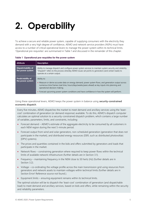# <span id="page-4-0"></span>**2. Operability**

To achieve a secure and reliable power system, capable of supplying consumers with the electricity they demand with a very high degree of confidence, AEMO and network service providers (NSPs) must have access to a number of critical operational levers to manage the power system within its technical limits. 'Operational pre-requisites' are summarised in Table 1 and discussed in the remainder of this chapter.

#### <span id="page-4-1"></span>**Table 1 Operational pre-requisites for the power system**

| <b>Attribute</b>                             | <b>Description</b>                                                                                                                                                                                                                                                                                                                                       |
|----------------------------------------------|----------------------------------------------------------------------------------------------------------------------------------------------------------------------------------------------------------------------------------------------------------------------------------------------------------------------------------------------------------|
| Dispatchability of<br>the power system       | Ability to manage dispatch and configure power system services to maintain system security and reliability.<br>"Dispatch" refers to the process whereby AEMO issues set points to generators (and certain loads) to<br>operate at a certain output.                                                                                                      |
| <b>Predictability of</b><br>the power system | Ability to:<br>• Measure or derive accurate data on energy demand, power system flows, and generation output across<br>numerous time frames (real time, hours/days/weeks/years ahead) as key inputs into planning and<br>operational decision-making.<br>• Forecast upcoming power system conditions and have confidence in how the system will perform. |

#### Using these operational levers, AEMO keeps the power system in balance using **security-constrained economic dispatch**.

Every five minutes, AEMO dispatches the market to meet demand and ancillary services using the 'leastcost' combination of generation (or demand response) available. To do this, AEMO's dispatch computer calculates an optimal solution to a security-constrained dispatch problem, which contains a large number of variables, parameters, limits, and constraints, including:

- Forecast demand AEMO's estimate of the aggregate electricity to be consumed by all customers in each NEM region during the next 5-minute period.
- Forecast output from wind and solar generators, non-scheduled generation (generation that does not participate in the market), and distributed energy resources (DER, such as distributed photovoltaic [DPV] systems).
- The prices and quantities contained in the bids and offers submitted by generators and loads that participate in the market.
- Network flows constraining generation where required to keep power flows within the technical limits of available network infrastructure (further details are in Section [3.1\)](#page-11-0).
- Frequency maintaining frequency in the NEM close to 50 hertz (Hz) (further details are in Section 3.2).
- Voltage co-ordinating the voltage profile across the main transmission grid using resources from generators and network assets to maintain voltages within technical limits (further details are in Section Error! Reference source not found.).
- Equipment limits ensuring equipment remains within its technical limits.

The optimal solution will be to dispatch the 'least-cost' combination of generation (and dispatchable load) to meet demand and ancillary services, based on bids and offers, while remaining within the security and reliability parameters.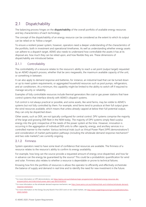## <span id="page-5-0"></span>2.1 Dispatchability

The balancing process hinges on the **dispatchability** of the overall portfolio of available energy resources and key characteristics of each technology.

The concept of the dispatchability of an energy resource can be considered as the extent to which its output can be relied on to 'follow a target'.

To ensure a resilient power system, however, operators need a deeper understanding of the characteristics of the portfolio, both in investment and operational timeframes. As well as understanding whether energy assets can adhere to a dispatch target, AEMO also needs to understand how controllable the assets it has at its disposal are, how much they can be relied upon, and how flexible they are. These dimensions of dispatchability are introduced below.

#### 2.1.1 Controllability

The controllability of a resource relates to the resource's ability to reach a set point (output target) requested by an AEMO dispatch process, whether that be zero megawatts, the maximum available capacity of the unit, or something in between.

It can also apply to demand response and batteries, for instance, an industrial load that can be turned down or up to meet system requirements, or aggregated household resources such as pool pumps, refrigerators, and air conditioners. At a minimum, this capability might be limited to the ability to switch off if required to manage security or reliability.

Examples of fully controllable resources include thermal generators like coal or gas power stations that have control systems that interface directly with AEMO's dispatch systems.

Full control is not always practical or possible, and some assets, like wind farms, may be visible to AEMO's systems but not fully controlled by them. For example, wind farms tend to produce at their full output given the wind resources available, which means that unless already capped at below their full potential output, they can only be dispatched down.

Other assets, such as DER, are not typically configured for central control. DPV systems comprise the majority of the large and growing DER fleet in the NEM today. The majority of DPV systems simply feed surplus energy into the grid, irrespective of the needs of the power system at the time. However, innovation is occurring in the aggregation of individual DER units to offer capacity, energy, and ancillary services in a controlled manner to the market. Various technical trials (such as Virtual Power Plant [VPP] demonstrations<sup>3</sup>) and consideration of market participation pathways (including the wholesale demand response mechanism<sup>4</sup> and two-side markets 5 ) are currently ongoing.

#### 2.1.2 Firmness

System operators need to have some level of confidence that resources are available. The firmness of a resource relates to the resource's ability to confirm its energy availability.

For example, how long can the source provide a requested amount of energy once dispatched, and how far in advance can the energy be guaranteed by the source? This could be a probabilistic quantification for wind and solar. Firmness also relates to whether a resource is dependable or prone to technical failures.

Knowing how firm the portfolio of resources is allows the operator to efficiently and effectively orchestrate the balance of supply and demand in real time and to identify the need for new investment in the future.

<sup>&</sup>lt;sup>3</sup> For more information on VPP demonstrations, see [https://aemo.com.au/initiatives/major-programs/nem-distributed-energy-resources-der](https://aemo.com.au/initiatives/major-programs/nem-distributed-energy-resources-der-program/pilots-and-trials/virtual-power-plant-vpp-demonstrations)[program/pilots-and-trials/virtual-power-plant-vpp-demonstrations.](https://aemo.com.au/initiatives/major-programs/nem-distributed-energy-resources-der-program/pilots-and-trials/virtual-power-plant-vpp-demonstrations)

<sup>4</sup> For more information on the wholesale demand response mechanism, se[e https://www.aemo.com.au/initiatives/trials-and-initiatives/wholesale-demand](https://www.aemo.com.au/initiatives/trials-and-initiatives/wholesale-demand-response-mechanism)[response-mechanism.](https://www.aemo.com.au/initiatives/trials-and-initiatives/wholesale-demand-response-mechanism)

<sup>&</sup>lt;sup>5</sup> For more information on the Energy Security Board's Post 2025 work on two-sided markets, se[e http://www.coagenergycouncil.gov.au/publications/two](http://www.coagenergycouncil.gov.au/publications/two-sided-markets)[sided-markets](http://www.coagenergycouncil.gov.au/publications/two-sided-markets)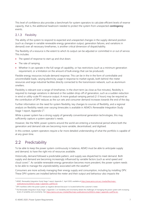This level of confidence also provides a benchmark for system operators to calculate efficient levels of reserve capacity, that is, the additional headroom needed to protect the system from unexpected **contingency** events.

#### 2.1.3 Flexibility

The ability of the system to respond to expected and unexpected changes in the supply-demand position (such as changes in variable renewable energy generation output, generation failures, and variations in demand) over all necessary timeframes, is another critical dimension of dispatchability.

The flexibility of a resource is the extent to which its output can be adjusted or committed in or out of service. This includes:

- The speed of response to start up and shut down.
- The rate of ramping.
- Whether it can operate in the full range of capability, or has restrictions (such as a minimum generation requirement, or a limitation on the amount of bulk energy that can be produced).

Flexible energy resources include demand response. This can be in the in the form of controllable and uncontrollable loads, varying electricity usage in response to market signals, both behind-the-meter resources and large industrial facilities directly connected to the transmission network, such as aluminium smelters.

Flexibility is relevant over a range of timeframes. In the short term (as close as five minutes), flexibility is required to manage variations in demand or the sudden drop-off of generation, such as a sudden reduction in wind or utility-scale PV resource output. A more gradual ramping period (2-3 hours) may be required as the contribution of DPV reduces as the sun sets and consumer demand increases towards the end of the day.

Further information on the need for system flexibility, key changes to sources of flexibility, and a regional analysis on flexibility needs over varying timescales is available in AEMO's Renewable Integration Study Stage 1 report, Appendix  $C^6$ .

While a power system has a strong supply of generally conventional generation technologies, this may sufficiently capture a system operator's needs.

However, like the NEM, power systems around the world are entering a transitional period where both the generation and demand side are becoming more variable, decentralised, and digitised.

In this context, system operators require a far more detailed understanding of what the portfolio is capable of at any given time.

## <span id="page-6-0"></span>2.2 Predictability

To be able to keep the power system continuously in balance, AEMO must be able to anticipate supply and demand, to have the right mix of resources available.

Historically, demand followed a predictable pattern, and supply was dispatched to meet demand. Both supply and demand are becoming increasingly influenced by variable factors (such as wind speed and cloud cover)<sup>7</sup>. As variable renewable energy generation becomes more prevalent, the power system needs to be able to manage the unpredictability associated with the weather<sup>8</sup>.

Consumers are more actively managing their energy supply and consumption, including by installing DPV. These DPV systems are installed behind the meter and their output and behaviour also impacts the

<sup>&</sup>lt;sup>6</sup> AEMO. Renewable Integration Study Stage 1 report, Appendix C. April 2020, available a[t https://www.aemo.com.au/-/media/files/major](https://www.aemo.com.au/-/media/files/major-publications/ris/2020/ris-stage-1-appendix-c.pdf?la=en)[publications/ris/2020/ris-stage-1-appendix-c.pdf?la=en.](https://www.aemo.com.au/-/media/files/major-publications/ris/2020/ris-stage-1-appendix-c.pdf?la=en) 

<sup>7</sup> DPV manifests within the power system as negative demand because it is located behind the customer's meter.

<sup>&</sup>lt;sup>8</sup> The Renewable Integration Study Stage 1, Appendix C on Variability and Uncertainty details the challenges of managing the power system with increasing levels of variability and uncertainty. Se[e https://aemo.com.au/-/media/files/major-publications/ris/2020/ris-stage-1-appendix-c.pdf?la=en.](https://aemo.com.au/-/media/files/major-publications/ris/2020/ris-stage-1-appendix-c.pdf?la=en)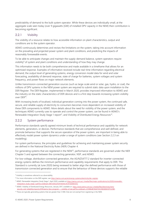predictability of demand to the bulk system operator. While these devices are individually small, at the aggregate scale seen today (over 9 gigawatts [GW] of installed DPV capacity in the NEM) their contribution is becoming significant.

#### 2.2.1 Visibility

The visibility of a resource relates to how accessible information on plant characteristics, output and conditions are to the system operator.

AEMO continuously determines and revises the limitations on the system, taking into account information on the prevailing and projected power system and plant conditions, and predicting the impacts of reasonably foreseeable events.

To be able to anticipate changes and maintain the supply-demand balance, system operators require visibility<sup>9</sup> of system and plant conditions and understanding of how they may change.

This information needs to be both comprehensive and made available in a timeframe that allows for an optimised response. Examples of information received include real-time information regarding electrical demand, the output level of generating systems, energy conversion model data for wind and solar forecasting, availability of demand response, state of charge for batteries, system voltages and system frequency, and power flows on major network elements.

Unlike transmission-connected generation sources (such as large-scale wind or solar, gas, hydro, or coal), the millions of DPV systems in the NEM power system are required to submit static data upon installation to the DER Register. The DER Register, implemented in March 2020, provides improved information to AEMO and the industry on the static characteristics of DER devices and is a first step towards increasing system visibility over DER<sup>10</sup>.

With increasing levels of localised, individual generation coming into the power system, the continued safe, secure, and reliable supply of electricity to consumers becomes more dependent on increased visibility of these DER components to AEMO. More details about the need for visibility of the power system, and the techniques AEMO currently uses to operate and control the power system, can be found in AEMO's Renewable Integration Study Stage 1 report<sup>11</sup>, and Visibility of Distributed Energy Resources<sup>12</sup>.

#### 2.2.2 System performance

Performance standards specify agreed minimum levels of technical performance and capability for network elements, generators, or devices. Performance standards that are comprehensive and well defined, and promote behaviour that supports the secure operation of the power system, are important in being able to effectively model power system dynamics under a range of system conditions (see Section 2.2.3 on modelling).

For system performance, the principles and guidelines for achieving and maintaining power system security are defined in the National Electricity Rules (NER) Chapter 4.

For generating systems that are registered in the NEM<sup>13</sup>, performance standards are governed under the NER Chapter 5 and agreed between the connecting generator, NSP, and AEMO.

For low-voltage, distribution-connected generation, the AS/NZS4777.2 standard for inverter-connected energy systems defines the minimum performance and capability requirements that apply to DER. This Standard is currently (at June 2020) being reviewed to better align the defined performance with those of transmission connected generation and to ensure that the behaviour of these devices supports the reliable

<sup>&</sup>lt;sup>9</sup> Visibility is sometimes referred to as observability.

<sup>&</sup>lt;sup>10</sup> For more information on the DER register, se[e https://aemo.com.au/en/energy-systems/electricity/der-register.](https://aemo.com.au/en/energy-systems/electricity/der-register)

<sup>&</sup>lt;sup>11</sup> AEMO. Renewable Integration Study Stage 1, April 2020, available a[t https://aemo.com.au/-/media/files/major-publications/ris/2020/renewable](https://aemo.com.au/-/media/files/major-publications/ris/2020/renewable-integration-study-stage-1.pdf?la=en&hash=BEF358122FD1FAD93C9511F1DD8A15F2)[integration-study-stage-1.pdf?la=en&hash=BEF358122FD1FAD93C9511F1DD8A15F2.](https://aemo.com.au/-/media/files/major-publications/ris/2020/renewable-integration-study-stage-1.pdf?la=en&hash=BEF358122FD1FAD93C9511F1DD8A15F2)

<sup>&</sup>lt;sup>12</sup> AEMO. Visibility of Distributed Energy Resources, January 2017, available at [https://www.aemo.com.au/-/media/files/electricity/nem/](https://www.aemo.com.au/-/media/files/electricity/nem/security_and_reliability/reports/2016/aemo-fpss-program----visibility-of-der.pdf?la=en&hash=251EB64B76EAF1DC09658D6107F229B1) [security\\_and\\_reliability/reports/2016/aemo-fpss-program----visibility-of-der.pdf?la=en&hash=251EB64B76EAF1DC09658D6107F229B1.](https://www.aemo.com.au/-/media/files/electricity/nem/security_and_reliability/reports/2016/aemo-fpss-program----visibility-of-der.pdf?la=en&hash=251EB64B76EAF1DC09658D6107F229B1)

<sup>&</sup>lt;sup>13</sup> These are typically generating systems that are greater than 5 MW, that are not exempt from registering in the NEM.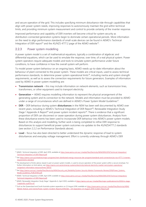and secure operation of the grid. This includes specifying minimum disturbance ride-through capabilities that align with power system needs, improving responses to autonomously maintain the grid within technical limits, and providing minimum system measurement and control to provide certainty of the inverter response.

Improved performance and capability of DER inverters will become critical for system security as distribution-connected generation systems begin to dominate certain operational periods. More information on the need to align performance standards of small-scale devices can be found in AEMO's Technical Integration of DER report<sup>14</sup> and the AS/NZS 4777.2 page of the AEMO website<sup>15</sup>.

#### 2.2.3 Power system modelling

A power system model is a set of mathematical equations, typically a combination of algebraic and differential equations, which can be used to emulate the response, over time, of a real physical system. Power system operators require adequate models and tools to simulate system performance under future conditions, to have confidence in how the overall system will perform.

To model power system behaviour on an ongoing basis, AEMO needs up-to-date information about the behaviour of plant connected to the power system. These models are critical inputs, used to assess technical performance standards, to determine power system operational limits<sup>16</sup>, including inertia and system strength requirements, as well as to assess the connection requirements for future generators. Examples of information used by AEMO in power system modelling are:

- **Transmission network** this may include information on network elements, such as transmission lines, transformers, or other equipment used to transport electricity.
- **Generation** AEMO requires modelling information to represent the physical arrangement of the generating system and its connection to the network. Models and information must be provided to AEMO under a range of circumstances which are defined in AEMO's Power System Model Guidelines<sup>17</sup>.
- **DER** DER behaviour during system **disturbances** in the NEM has been well documented by AEMO over recent years, including in AEMO's Technical Integration of DER Report<sup>18</sup>, Renewable Integration Study Stage 1 Appendix A Report<sup>19</sup> and power system incident reports<sup>20</sup>. There is evidence that a significant proportion of DER can disconnect or cease operation during power system disturbances. Analysis from these disturbance events has been used to incorporate DER behaviour into AEMO's power system models. Based on this analysis and modelling, further work is being completed to refine DER response to disturbances to support beneficial power system outcomes via updates to the AS/NZS4777.2 standards (see section 2.2.2 on Performance Standards above).
- **Load** focus has also been directed to better understand the dynamic response of load to system disturbances and everyday voltage management. Effort is currently underway through AEMO's DER

<sup>&</sup>lt;sup>14</sup> AEMO. Technical Integration of DER, April 2019, available a[t https://www.aemo.com.au/-/media/Files/Electricity/NEM/DER/2019/Technical-Integration/](https://www.aemo.com.au/-/media/Files/Electricity/NEM/DER/2019/Technical-Integration/Technical-Integration-of-DER-Report.pdf) [Technical-Integration-of-DER-Report.pdf](https://www.aemo.com.au/-/media/Files/Electricity/NEM/DER/2019/Technical-Integration/Technical-Integration-of-DER-Report.pdf)

<sup>15</sup> Se[e https://aemo.com.au/initiatives/major-programs/nem-distributed-energy-resources-der-program/standards-and-connections/as-nzs-4777-2-inverter](https://aemo.com.au/initiatives/major-programs/nem-distributed-energy-resources-der-program/standards-and-connections/as-nzs-4777-2-inverter-requirements-standard)[requirements-standard.](https://aemo.com.au/initiatives/major-programs/nem-distributed-energy-resources-der-program/standards-and-connections/as-nzs-4777-2-inverter-requirements-standard)

<sup>&</sup>lt;sup>16</sup> The development of limits advice, based in part on power system models, is used to ensure operation of the power system within a secure envelope. For further information on limit advice, se[e https://aemo.com.au/en/energy-systems/electricity/national-electricity-market-nem/system-operations/](https://aemo.com.au/en/energy-systems/electricity/national-electricity-market-nem/system-operations/congestion-information-resource/limits-advice) [congestion-information-resource/limits-advice.](https://aemo.com.au/en/energy-systems/electricity/national-electricity-market-nem/system-operations/congestion-information-resource/limits-advice)

<sup>17</sup> Se[e https://aemo.com.au/-/media/Files/Electricity/NEM/Security\\_and\\_Reliability/System-Security-Market-Frameworks-Review/2018/Power\\_Systems\\_](https://aemo.com.au/-/media/Files/Electricity/NEM/Security_and_Reliability/System-Security-Market-Frameworks-Review/2018/Power_Systems_Model_Guidelines_PUBLISHED.pdf) [Model\\_Guidelines\\_PUBLISHED.pdf.](https://aemo.com.au/-/media/Files/Electricity/NEM/Security_and_Reliability/System-Security-Market-Frameworks-Review/2018/Power_Systems_Model_Guidelines_PUBLISHED.pdf)

<sup>&</sup>lt;sup>18</sup> AEMO. Technical Integration of DER, April 2019, available a[t https://www.aemo.com.au/-/media/Files/Electricity/NEM/DER/2019/Technical-Integration/](https://www.aemo.com.au/-/media/Files/Electricity/NEM/DER/2019/Technical-Integration/Technical-Integration-of-DER-Report.pdf) [Technical-Integration-of-DER-Report.pdf.](https://www.aemo.com.au/-/media/Files/Electricity/NEM/DER/2019/Technical-Integration/Technical-Integration-of-DER-Report.pdf)

<sup>19</sup> AEMO, Renewable Integration Study Stage 1 Appendix A, April 2020, available a[t https://aemo.com.au/-/media/files/major-publications/ris/2020/ris-stage-](https://aemo.com.au/-/media/files/major-publications/ris/2020/ris-stage-1-appendix-a.pdf?la=en)[1-appendix-a.pdf?la=en.](https://aemo.com.au/-/media/files/major-publications/ris/2020/ris-stage-1-appendix-a.pdf?la=en)

<sup>&</sup>lt;sup>20</sup> Such as the Queensland and South Australia system separation on 25 August 2018, available at [https://www.aemo.com.au/-/media/Files/Electricity/NEM/](https://www.aemo.com.au/-/media/Files/Electricity/NEM/Market_Notices_and_Events/Power_System_Incident_Reports/2018/Qld---SA-Separation-25-August-2018-Incident-Report.pdf) [Market\\_Notices\\_and\\_Events/Power\\_System\\_Incident\\_Reports/2018/Qld---SA-Separation-25-August-2018-Incident-Report.pdf.](https://www.aemo.com.au/-/media/Files/Electricity/NEM/Market_Notices_and_Events/Power_System_Incident_Reports/2018/Qld---SA-Separation-25-August-2018-Incident-Report.pdf)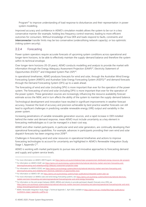Program<sup>21</sup> to improve understanding of load response to disturbances and their representation in power system modelling.

Improved accuracy and confidence in AEMO's simulation models allows the system to be run in a less conservative manner (for example, holding less frequency control reserves), leading to more efficient outcomes for consumers. Without knowledge of how DER and loads respond to faults, constraints and **interconnector** transfer limits may be too conservative (underutilising network capacity), or too optimistic (risking system security).

#### 2.2.4 Forecasting

Power system operators require accurate forecasts of upcoming system conditions across operational and longer-term horizons, to be able to effectively maintain the supply-demand balance and therefore the system within its technical envelope.

Over longer-term horizons (10-20 years), AEMO conducts modelling and analysis to provide the market with information through the Energy Adequacy Assessment Projection (EAAP) $^{22}$ , Electricity Statement of Opportunities (ESOO)<sup>23</sup> and Integrated System Plan (ISP)<sup>24</sup>.

In operational timeframes, AEMO produces forecasts for wind and solar, through the Australian Wind Energy Forecasting System (AWEFS) and Australian Solar Energy Forecasting System (ASEFS)<sup>25</sup> and demand forecasts through the Demand Forecasting System (DFS) up to a week ahead.

The forecasting of wind and solar (including DPV) is more important than ever for the operation of the power system. The forecasting of wind and solar (including DPV) is more important than ever for the operation of the power system. These generation sources are increasingly influencing the resource availability forecast estimate across the NEM, and in turn affects the ability of the system to maintain the supply-demand balance.

Technological development and innovation have resulted in significant improvements in weather forecast accuracy, however the level of accuracy and precision achievable by best practice weather forecasts can still lead to significant challenges in predicting variable renewable energy (VRE) output and variability in the power system.

Increasing penetrations of variable renewable generation sources, and a rapid increase in DER installed behind the meter and demand response, mean AEMO must include uncertainty as a key element in forecasting methodologies so it can be managed in a least-cost way.

AEMO and other market participants, in particular wind and solar generators, are continually developing their operational forecasting capabilities. For example, advances in participants providing their own wind and solar dispatch forecasts has been ongoing since 2018<sup>26</sup>.

Challenges in forecasting wind and solar resources in operational timeframes and actions to improve forecasting technologies to account for uncertainty are highlighted in AEMO's Renewable Integration Study Stage 1, Appendix C<sup>27</sup>.

AEMO is working with market participants to pursue new and innovative approaches to forecasting demand and supply and system service levels.

<sup>&</sup>lt;sup>21</sup> For more information on AEMO's DER Program, see <https://aemo.com.au/en/initiatives/major-programs/nem-distributed-energy-resources-der-program>

<sup>&</sup>lt;sup>22</sup> For information on AEMO's EAAP, see [https://aemo.com.au/en/energy-systems/electricity/national-electricity-market-nem/nem-forecasting-and](https://aemo.com.au/en/energy-systems/electricity/national-electricity-market-nem/nem-forecasting-and-planning/forecasting-and-reliability/energy-adequacy-assessment-projection-eaap)[planning/forecasting-and-reliability/energy-adequacy-assessment-projection-eaap.](https://aemo.com.au/en/energy-systems/electricity/national-electricity-market-nem/nem-forecasting-and-planning/forecasting-and-reliability/energy-adequacy-assessment-projection-eaap) 

<sup>&</sup>lt;sup>23</sup> For information on AEMO's ESOO, see [https://aemo.com.au/energy-systems/electricity/national-electricity-market-nem/nem-forecasting-and](https://aemo.com.au/energy-systems/electricity/national-electricity-market-nem/nem-forecasting-and-planning/forecasting-and-reliability/nem-electricity-statement-of-opportunities-esoo)[planning/forecasting-and-reliability/nem-electricity-statement-of-opportunities-esoo.](https://aemo.com.au/energy-systems/electricity/national-electricity-market-nem/nem-forecasting-and-planning/forecasting-and-reliability/nem-electricity-statement-of-opportunities-esoo)

<sup>&</sup>lt;sup>24</sup> For information on AEMO's ISP, see [https://aemo.com.au/en/energy-systems/major-publications/integrated-system-plan-isp.](https://aemo.com.au/en/energy-systems/major-publications/integrated-system-plan-isp)

<sup>&</sup>lt;sup>25</sup> For more information on AEMOs solar and wind energy forecasting systems, se[e https://aemo.com.au/energy-systems/electricity/national-electricity](https://aemo.com.au/energy-systems/electricity/national-electricity-market-nem/nem-forecasting-and-planning/operational-forecasting/solar-and-wind-energy-forecasting)[market-nem/nem-forecasting-and-planning/operational-forecasting/solar-and-wind-energy-forecasting.](https://aemo.com.au/energy-systems/electricity/national-electricity-market-nem/nem-forecasting-and-planning/operational-forecasting/solar-and-wind-energy-forecasting)

 $^{26}$  For information on the joint project between AEMO, ARENA and industry to provide participant dispatch forecasts since 2018, see [https://aemo.com.au/energy-systems/electricity/national-electricity-market-nem/nem-forecasting-and-planning/operational-forecasting/solar-and-wind](https://aemo.com.au/energy-systems/electricity/national-electricity-market-nem/nem-forecasting-and-planning/operational-forecasting/solar-and-wind-energy-forecasting/participant-forecasting)[energy-forecasting/participant-forecasting.](https://aemo.com.au/energy-systems/electricity/national-electricity-market-nem/nem-forecasting-and-planning/operational-forecasting/solar-and-wind-energy-forecasting/participant-forecasting) 

<sup>&</sup>lt;sup>27</sup> AEMO. Renewable Integration Study Stage 1, Technical Appendix C. April 2020, available at [https://aemo.com.au/-/media/files/major-publications/](https://aemo.com.au/-/media/files/major-publications/ris/2020/ris-stage-1-appendix-c.pdf?la=en) [ris/2020/ris-stage-1-appendix-c.pdf?la=en.](https://aemo.com.au/-/media/files/major-publications/ris/2020/ris-stage-1-appendix-c.pdf?la=en)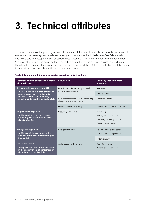## <span id="page-10-0"></span>**3. Technical attributes**

Technical attributes of the power system are the fundamental technical elements that must be maintained to ensure that the power system can delivery energy to consumers with a high degree of confidence (reliability) and with a safe and acceptable level of performance (security). This section summarises the fundamental 'technical attributes' of the power system. For each, a description of the attribute, services needed to meet the attribute requirement and current areas of focus are discussed. Table 2 lists these technical attributes and Figure 1 shows the timescale in which each service responds.

| <b>Technical attribute and section of report</b><br>where addressed                                                                                | <b>Requirement</b>                                                          | Service(s) needed to meet<br>requirement                                                                     |  |  |
|----------------------------------------------------------------------------------------------------------------------------------------------------|-----------------------------------------------------------------------------|--------------------------------------------------------------------------------------------------------------|--|--|
| <b>Resource adequacy and capability</b>                                                                                                            | Provision of sufficient supply to match<br>demand from consumers            | Bulk energy                                                                                                  |  |  |
| There is a sufficient overall portfolio of<br>energy resources to continuously                                                                     |                                                                             | <b>Strategic Reserves</b>                                                                                    |  |  |
| achieve the real-time balancing of<br>supply and demand. (See Section 3.1)                                                                         | Capability to respond to large continuing<br>changes in energy requirements | Operating reserves                                                                                           |  |  |
|                                                                                                                                                    | Network transport capability                                                | Transmission and distribution services                                                                       |  |  |
| <b>Frequency management</b><br>Ability to set and maintain system<br>frequency within acceptable limits.<br>(See Section 3.2)                      | Frequency within limits                                                     | Inertial response<br>Primary frequency response<br>Secondary frequency control<br>Tertiary frequency control |  |  |
| Voltage management<br>Ability to maintain voltages on the<br>network within acceptable limits. (See<br>Section 3.3)                                | Voltage within limits                                                       | Slow response voltage control<br>Fast response voltage control                                               |  |  |
| <b>System restoration</b><br>Ability to restart and restore the system<br>in the unlikely event of a major supply<br>disruption. (See Section 3.4) | Ability to restore the system                                               | System strength<br><b>Black start services</b><br>Restoration support services                               |  |  |

#### <span id="page-10-1"></span>**Table 2 Technical attributes, and services required to deliver them**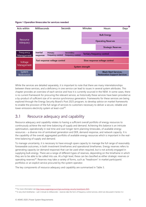<span id="page-11-1"></span>**Figure 1 Operation timescales for services needed**



While the services are detailed separately, it is important to note that there are many interrelationships between these services, and a deficiency in one service can lead to issues in several system attributes. This chapter provides an overview of each service and how it is currently sourced in the NEM. In some cases, there is no current framework for procuring the relevant service, as historically these services have been provided as a by-product of sufficient size of in-service synchronous generators. Frameworks for these services are being explored through the Energy Security Board's Post 2025 program, to develop advice on market frameworks to enable the provision of the full range of services to customers necessary to deliver a secure, reliable and lower emissions electricity system at least-cost<sup>28</sup>.

### <span id="page-11-0"></span>3.1 Resource adequacy and capability

Resource adequacy and capability relates to having a sufficient overall portfolio of energy resources to continuously achieve the real-time balancing of supply and demand. Achieving this balance is an intricate optimisation, operationally in real time and over longer-term planning timescales, of available energy resources – a diverse mix of centralised generation and DER, demand response, and network capacity. It is the capability of the overall, aggregated portfolio of available energy resources which is important in the realtime balancing of supply and demand.

To manage uncertainty, it is necessary to have enough spare capacity to manage the full range of reasonably foreseeable outcomes, in both investment timeframes and operational timeframes. Energy reserves refers to generating capacity (or demand response) that can be used when required, but is not actively engaged in supplying bulk energy. There are a range of different types of reserves, depending on the timeframe in which they are to be able to be called into use. At a high level, these can be classified as either strategic reserves or operating reserves<sup>29</sup>. Reserves may take a variety of forms, such as "headroom" in market participants' portfolios or an explicit service procured by the system operator.

The key components of resource adequacy and capability are summarised in Table 3.

<sup>&</sup>lt;sup>28</sup> For more information see http://www.coagenergycouncil.gov.au/energy-security-board/post-2025.

 $^{29}$  In very short timeframes – sub 5-minute to milliseconds – reserves take the form of frequency control services, which are discussed in Section 3.2.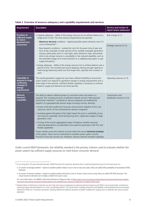| Requirement                                                                             | <b>Description</b>                                                                                                                                                                                                                                                                                                                                                                                                                                                                                                                                                                                                                                                                                                                   | Service and section of                            |
|-----------------------------------------------------------------------------------------|--------------------------------------------------------------------------------------------------------------------------------------------------------------------------------------------------------------------------------------------------------------------------------------------------------------------------------------------------------------------------------------------------------------------------------------------------------------------------------------------------------------------------------------------------------------------------------------------------------------------------------------------------------------------------------------------------------------------------------------|---------------------------------------------------|
|                                                                                         |                                                                                                                                                                                                                                                                                                                                                                                                                                                                                                                                                                                                                                                                                                                                      | report where addressed                            |
| <b>Provision of</b><br>sufficient supply<br>to match                                    | • Capacity adequacy - ability of the energy resource mix to achieve balance at a<br>single point in time. The most onerous requirements are typically:<br>- Maximum demand conditions - highest plausible system demand, even if it                                                                                                                                                                                                                                                                                                                                                                                                                                                                                                  | Bulk energy (3.1.1)                               |
| demand from<br>consumers                                                                | occurs infrequently <sup>30</sup> .<br>- Rare dispatch conditions - outside the norm for the given time of year and<br>time of day. Examples include: periods of low variable renewable generation<br>during a particularly warm or cold night, when demand is high; and periods<br>when a key energy resource is unavailable or has reduced capability, such as<br>the extended outage of an interconnection to a neighbouring region, or gas<br>supply disruptions.<br>• Energy adequacy - ability of the energy resource mix to achieve balance over a<br>period of time. This includes fuel source adequacy (having enough capacity to<br>meet energy balancing needs over the longer term, typically over a season or<br>year). | Strategic reserves (3.1.2)                        |
| Capability to<br>respond to large<br>continuing<br>changes in<br>energy<br>requirements | The overall generation supply mix must have sufficient flexibility to ensure the<br>power system can respond to significant changes in energy requirements over a<br>wide range of time periods. Sufficient flexible capability is necessary to continue<br>to balance supply and demand over these periods.                                                                                                                                                                                                                                                                                                                                                                                                                         | Operating reserves (3.1.3)                        |
| <b>Network</b><br>transport<br>capability                                               | The ability to deliver sufficient power to consumers when and where it is<br>required. This includes provision of sufficient network services. Well-planned<br>transmission networks <sup>31</sup> contribute to resource adequacy by enabling the<br>dispatch of a geographically diverse range of energy sources, allowing:                                                                                                                                                                                                                                                                                                                                                                                                        | Transmission and<br>distribution services (3.1.4) |
|                                                                                         | • Access to the best quality fuel resources and economic dispatch of low-cost<br>resources, which can be constrained by network congestion.                                                                                                                                                                                                                                                                                                                                                                                                                                                                                                                                                                                          |                                                   |
|                                                                                         | • Guarding against disruptions that might impact the price or availability of any<br>one resource, especially critical during long-term, unplanned outages of large<br>generation units.                                                                                                                                                                                                                                                                                                                                                                                                                                                                                                                                             |                                                   |
|                                                                                         | • Firming of the overall, aggregated output of disperse variable resources,<br>reducing dependence on potentially more expensive generators with firm and<br>flexible capabilities.                                                                                                                                                                                                                                                                                                                                                                                                                                                                                                                                                  |                                                   |
|                                                                                         | Power transfer across the network must be within the secure technical envelope<br>of the system. Flows can be constrained to maintain power system security.<br>Provision of security services can, therefore, improve network transport capability.                                                                                                                                                                                                                                                                                                                                                                                                                                                                                 |                                                   |

#### <span id="page-12-0"></span>**Table 3 Overview of resource adequacy and capability requirements and services**

Under current NEM frameworks, the reliability standard is the primary criterion used to evaluate whether the power system has sufficient supply resources to meet future consumer demand.

<sup>30</sup> In our long-term, 20-year demand forecasts, AEMO forecasts the maximum demand which could be expected at any one time each year, for:

<sup>•</sup> A summer of average weather – based on weather patterns likely to occur one in every two years, these are called 50% probability of exceedance (POE) forecasts.

<sup>•</sup> A summer of extreme weather – based on weather patterns that have a one in 10 year chance of occurring, these are called 10% POE forecasts. The actual maximum demand can be highly variable from year to year.

For more information, see AEMO's Electricity Statement of Opportunities, a[t https://aemo.com.au/energy-systems/electricity/national-electricity-market](https://aemo.com.au/energy-systems/electricity/national-electricity-market-nem/nem-forecasting-and-planning/forecasting-and-reliability/nem-electricity-statement-of-opportunities-esoo)[nem/nem-forecasting-and-planning/forecasting-and-reliability/nem-electricity-statement-of-opportunities-esoo.](https://aemo.com.au/energy-systems/electricity/national-electricity-market-nem/nem-forecasting-and-planning/forecasting-and-reliability/nem-electricity-statement-of-opportunities-esoo)

<sup>&</sup>lt;sup>31</sup> Modernisation of distribution networks can also help with resource adequacy by allowing demand response and DER to more dynamically contribute to achieving supply-demand balance in a more coordinated fashion. This would result in greatly enhanced controllability of decentralised resources located behind the meter (on consumers' premises), allowing AEMO and network operators to better mobilise this capacity and co-optimise with secure system operation.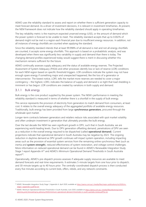AEMO uses the reliability standard to assess and report on whether there is sufficient generation capacity to meet forecast demand. As a driver of investment decisions, it is relevant in investment timeframes. At present, the NEM framework does not indicate how the reliability standard should apply in operating timeframes.

The key reliability metric is the maximum expected unserved energy (USE), or the amount of demand which the power system is forecast to be unable to meet. The reliability standard accepts that up to 0.002% of demand might not be met in a region each financial year due to insufficient energy resources. In addition, not all instances of energy shortfalls are counted when applying the standard.

Since the reliability standard intends that at least 99.998% of all demand is met and not all energy shortfalls are counted, it accepts some energy shortfalls. This approach is based on a probabilistic analysis, and was developed when there was significantly less variability in supply and demand than there is today. The changing demand profiles experienced today would suggest there is merit in discussing whether this mechanism remains sufficient for the future.

AEMO continually assesses supply adequacy and the status of available energy reserves. The Projected Assessment of System Adequacy (PASA) and other processes identify low or lack of reserve (LOR) conditions for each NEM region based on specific threshold triggers. LOR conditions indicate the system may not have enough spare energy if something major and unexpected happened, like the loss of a generator or interconnector. The lowest notice, LOR1, tells the market more reserves are needed to cover a major contingency – the highest, LOR3, indicates the balance of supply and demand is so tight that load shedding is imminent or has begun. LOR conditions are created by variations in both supply and demand.

#### 3.1.1 Bulk energy

Bulk energy is the core product supplied by the power system. The NEM's performance in meeting the reliability standard is measured in terms of whether there is a shortfall in the supply of bulk energy.

This service represents the provision of electricity from generators to match demand from consumers, at least cost. It relates to the overall energy adequacy of the aggregated portfolio of available energy resources. Traditionally, bulk energy has been provided from large **synchronous generators**, procured through the wholesale spot market.

Longer-term contracts between generators and retailers reduce risks associated with spot market volatility and often underpin investment in generation that ultimately provides the bulk energy.

Over the last decade the NEM has seen significant growth in DPV, such that in South Australia, we are experiencing world-leading levels. Due to DPV generation offsetting demand, penetrations of DPV are seen as a reduction in the overall energy required to be dispatched (called **operational demand**). Current projections indicate that operational demand in South Australia may be negative by 2023. The ongoing reduction in daytime demand as DPV growth continues will impact system operation, including impacting areas such as the provision of essential system services from the remaining online synchronous fleet (such as inertia and **system strength**), reduced effectiveness of system restoration, and voltage control challenges. More information on reduced operational demand can be found in AEMO's Renewable Integration Study Stage 1 report Appendix A<sup>32</sup> and AEMO's Minimum Operational Demand Thresholds in South Australia report<sup>33</sup>.

Operationally, AEMO's pre-dispatch process assesses if adequate supply resources are available to meet demand forecasts and real-time requirements. It estimates 5-minute targets from one hour prior to dispatch, and 30-minute targets up to 40 hours prior. The centrally-coordinated dispatch process is then conducted every five minutes according to current bids, offers, rebids, and any network constraints.

<sup>&</sup>lt;sup>32</sup> AEMO. Renewable Integration Study Stage 1, Appendix A. April 2020, available a[t https://aemo.com.au/-/media/files/major-publications/ris/2020/ris](https://aemo.com.au/-/media/files/major-publications/ris/2020/ris-stage-1-appendix-a.pdf?la=en)[stage-1-appendix-a.pdf?la=en.](https://aemo.com.au/-/media/files/major-publications/ris/2020/ris-stage-1-appendix-a.pdf?la=en)

<sup>33</sup> AEMO. Minimum Operational Demand Thresholds in South Australia, June 2020, available a[t https://aemo.com.au/-/media/files/electricity/nem/](https://aemo.com.au/-/media/files/electricity/nem/planning_and_forecasting/sa_advisory/2020/minimum-operational-demand-thresholds-in-south-australia-review.pdf?la=en) [planning\\_and\\_forecasting/sa\\_advisory/2020/minimum-operational-demand-thresholds-in-south-australia-review.pdf?la=en.](https://aemo.com.au/-/media/files/electricity/nem/planning_and_forecasting/sa_advisory/2020/minimum-operational-demand-thresholds-in-south-australia-review.pdf?la=en)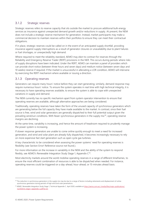#### 3.1.2 Strategic reserves

Strategic reserves refers to reserve capacity that sits outside the market to procure additional bulk energy services as insurance against unexpected demand growth and/or reductions in supply. At present, the NEM does not include a strategic reserve mechanism for generation. Instead, market participants may make a commercial decision to maintain reserves within their portfolios to ensure they can meet their contractual obligations.

If in place, strategic reserves could be called on in the event of an anticipated supply shortfall, providing insurance against supply interruptions as a result of generator closures or unavailability due to plant failures or fuel shortages, or unexpectedly high demand.

Where required to meet the reliability standard, AEMO may elect to contract for reserves through the Reliability and Emergency Reserve Trader (RERT) provisions in the NER. This occurs during periods where risks of supply disruptions have been indicated. Under the RERT, AEMO can maintain a panel of providers which can provide short notice (between three hours and seven days) and medium notice (between seven days and 10 weeks) reserve if required. If the market is unsuccessful in alleviating a LOR condition, AEMO will intervene by exercising the RERT mechanism where available or issuing a direction.

#### 3.1.3 Operating reserves

Generators can require many hours' notice before they can start generating; similarly, demand response may require numerous hours' notice. To ensure the system operates in real time with high technical integrity, it is necessary to have operating reserves available, to ensure the system is able to cope with unexpected variations in supply and demand.

The NEM currently has no specific mechanism apart from system operator intervention to ensure that operating reserves are available, although alternative approaches are being considered.

Traditionally, operating reserves have taken the form of the unused capacity of synchronous generators which are generating below the full capacity they have made available to the market. In contrast, since their fuel source is free, wind and solar generators are generally dispatched to their full potential output given the prevailing wind/sun conditions. With fewer synchronous generators in the supply mix<sup>34</sup>, operating reserve margins are declining.

At the same time, variability is increasing, and hence the amount of headroom required to prudently manage the power system is increasing.

If slower response generators are unable to come online quickly enough to meet a need for increased generation, and wind and solar plant are already fully dispatched, it becomes increasingly necessary to rely on more expensive fast start generation such as open cycle gas turbines.

A key characteristic to be considered when assessing the power systems' need for operating reserves is flexibility (see Section Error! Reference source not found.).

For more information on the increase in variability in the NEM and the ability of the system to respond flexibly, see AEMO's Renewable Integration Study Stage 1, Appendix  $C^{35}$ .

Most electricity markets around the world mobilise operating reserves in a range of different timeframes, to ensure the most efficient combination of resources is able to be dispatched when needed. For instance, operating reserves could be triggered on a day-ahead, hour-ahead, or 15-minutes ahead basis.

<sup>&</sup>lt;sup>34</sup> The reduction in synchronous generators in the supply mix may be due to a range of factors including retirements and displacement of online synchronous generators during periods of high wind and solar penetrations.

<sup>&</sup>lt;sup>35</sup> AEMO. Renewable Integration Study Stage 1, Technical Appendix C. April 2020, available a[t https://aemo.com.au/-/media/files/major-publications/](https://aemo.com.au/-/media/files/major-publications/ris/2020/ris-stage-1-appendix-c.pdf?la=en) [ris/2020/ris-stage-1-appendix-c.pdf?la=en.](https://aemo.com.au/-/media/files/major-publications/ris/2020/ris-stage-1-appendix-c.pdf?la=en)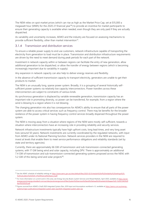The NEM relies on spot market prices (which can rise as high as the Market Price Cap, set at \$15,000 a megawatt hour (MWh) for the 2020-21 financial year<sup>36</sup>) to provide an incentive for market participants to ensure their generating capacity is available when needed, even though they are only paid if they are actually dispatched.

As variability and uncertainty increases, AEMO and the industry are focused on assessing mechanisms to provide sufficient flexibility, other than market intervention<sup>37</sup>.

#### 3.1.4 Transmission and distribution services

To ensure a reliable power supply to end use customers, network infrastructure capable of transporting the electricity from generation to load must be in place. Transmission and distribution infrastructure requirements are driven by the need to meet demand during peak periods for each part of the network.

Investment in network capacity within or between regions can facilitate the entry of new generation, allow additional generation to be dispatched, or allow the transfer of energy between regions (which is becoming increasingly important due to variability in supply).

Any expansion in network capacity can also help to deliver energy reserves and flexibility.

In the absence of sufficient transmission capacity to transport electricity, generators are unable to get their products to market.

The NEM is an unusually long, sparse power system. Broadly, it is a grouping of several historically selfsufficient power systems via relatively low capacity interconnectors. Power transfers across these interconnectors are subject to constraints of various kinds.

As synchronous generation is displaced by variable renewable generation, transmission capacity has an important role in promoting diversity, so power can be transferred, for example, from a region where the wind is blowing to a region where it is not blowing.

The changing generation mix also has consequences for AEMO's ability to ensure that all parts of the power system are able to access critical services such as frequency control. There may be benefits for the broader resilience of the power system in having frequency control services broadly dispersed throughout the power system.

The NEM is moving away from a situation where regions of the NEM were mostly self-sufficient, towards a situation where interconnectors have an increasing role in providing reliability and security services.

Network infrastructure investments typically have high upfront costs, long lead times, and very long asset lives (around 50 years). Network investments are currently coordinated by the regulated networks, with input from AEMO under its National Planning function. Network services providers in the NEM are required to invest at levels that enable them to meet service performance obligations and reliability standards (set by state and territory agencies).

Currently, there are approximately 66 GW of transmission and sub-transmission-connected generating systems, with 17 GW being wind and solar capacity, including DPV. There is approximately an additional 7.4 GW of transmission and sub-transmission-connected generating systems proposed across the NEM, with 5.2 GW of this being wind and solar projects $38$ .

<sup>&</sup>lt;sup>36</sup> See the AEMC schedule of reliability settings a[t https://www.aemc.gov.au/sites/default/files/2020-02/Schedule%20of%20reliability%20settings%20-](https://www.aemc.gov.au/sites/default/files/2020-02/Schedule%20of%20reliability%20settings%20-%20Calculation%202020-21%20financial%20year_0.pdf) [%20Calculation%202020-21%20financial%20year\\_0.pdf.](https://www.aemc.gov.au/sites/default/files/2020-02/Schedule%20of%20reliability%20settings%20-%20Calculation%202020-21%20financial%20year_0.pdf)

<sup>37</sup> For more information on current work in this area, see Energy Security Board, *System* Services and Ahead Markets, April 2020, available a[t https://prod](https://prod-energycouncil.energy.slicedtech.com.au/sites/prod.energycouncil/files/System%20services%20and%20ahead%20markets%20paper%20-%20COAG%20April%202020.pdf)[energycouncil.energy.slicedtech.com.au/sites/prod.energycouncil/files/System%20services%20and%20ahead%20markets%20paper%20-%20COAG%20](https://prod-energycouncil.energy.slicedtech.com.au/sites/prod.energycouncil/files/System%20services%20and%20ahead%20markets%20paper%20-%20COAG%20April%202020.pdf) [April%202020.pdf.](https://prod-energycouncil.energy.slicedtech.com.au/sites/prod.energycouncil/files/System%20services%20and%20ahead%20markets%20paper%20-%20COAG%20April%202020.pdf)

<sup>38</sup> Figures sourced from AEMO's *Draft 2020 Integrated System Plan, 2019 Input and Assumptions workbook v1.3,* available a[t https://aemo.com.au/energy](https://aemo.com.au/energy-systems/major-publications/integrated-system-plan-isp/2020-integrated-system-plan-isp)[systems/major-publications/integrated-system-plan-isp/2020-integrated-system-plan-isp.](https://aemo.com.au/energy-systems/major-publications/integrated-system-plan-isp/2020-integrated-system-plan-isp)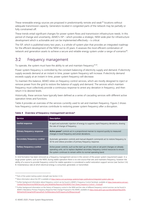These renewable energy sources are proposed in predominantly remote and weak<sup>39</sup> locations without adequate transmission capacity. Generators located in congested parts of the network may be partially or fully constrained off.

These trends entail significant changes for power system flows and transmission infrastructure needs. In this period of change and uncertainty, AEMO's ISP – which provides a strategic, NEM-wide plan for infrastructure development which is actionable and can be implemented effectively – is critical.

The ISP, which is published every two years, is a whole-of-system plan that provides an integrated roadmap for the efficient development of the NEM out to 20 years. It assesses the most efficient combination of network and generation assets to achieve a secure and reliable energy system under a range of scenarios<sup>40</sup>.

### <span id="page-16-0"></span>3.2 Frequency management

To operate, the system must have the ability to set and maintain frequency<sup>41,42</sup>.

Power system frequency is controlled by the constant balancing of electricity supply and demand. If electricity supply exceeds demand at an instant in time, power system frequency will increase. If electricity demand exceeds supply at an instant in time, power system frequency will decrease.

To maintain this balance, AEMO relies on frequency control services, which are mostly designed to inject or remove power from the grid to restore the balance of supply and demand. The services which maintain frequency must collectively provide a continuous response to arrest any deviation in frequency, and then return it to desired levels.

Historically, these services have typically been defined as a series of cascading services with different active operation times and functions.

Table 4 provides an overview of the services currently used to set and maintain frequency. Figure 2 shows how frequency control services contribute to restoring power system frequency after a disruption.

| Service                           | <b>Description</b>                                                                                                                                                                                                                                       |
|-----------------------------------|----------------------------------------------------------------------------------------------------------------------------------------------------------------------------------------------------------------------------------------------------------|
| Inertial response                 | A rapid and automatic injection of energy to suppress rapid frequency deviations, slowing<br>the rate of change of frequency.                                                                                                                            |
| <b>Primary frequency response</b> | <b>Active power</b> <sup>8</sup> controls act in a proportional manner to respond quickly to measured<br>changes in local frequency and arrest deviations.                                                                                               |
| Secondary frequency control       | Automatic generation controls and manual dispatch commands act to restore frequency to<br>50 Hz and relieve providers of primary frequency response.                                                                                                     |
| <b>Tertiary frequency control</b> | Active power controls, such as the start-up of new units or set point changes on already<br>operating units, act to replace depleted secondary frequency control resources to ensure<br>the system continues to remain within its normal operating band. |

#### <span id="page-16-1"></span>**Table 4 Overview of frequency management services<sup>A</sup>**

A. Grid formation has been removed as a frequency management service in this version of the power system requirement paper. In a large power system, such as the NEM, during stable operation there is no one source that sets and maintains frequency, however the ability of a source to provide frequency control for stable operation is considered a useful restoration support service (see Section 3.4). B. Instantaneous rate at which electrical energy is consumed, generated, or transmitted.

<sup>&</sup>lt;sup>39</sup> Parts of the system lacking system strength (see Section 3.3.3).

<sup>40</sup> More information about the ISP is available at https://aemo.com.au/energy-systems/major-publications/integrated-system-plan-isp.

<sup>41</sup> Further background information about frequency control can be found in AEMO's Frequency Control factsheet, available at [https://www.aemo.com.au/-](https://www.aemo.com.au/-/media/Files/Electricity/NEM/Security_and_Reliability/Reports/2016/AEMO-Fact-Sheet_Frequency-Control---Final.pdf) [/media/Files/Electricity/NEM/Security\\_and\\_Reliability/Reports/2016/AEMO-Fact-Sheet\\_Frequency-Control---Final.pdf.](https://www.aemo.com.au/-/media/Files/Electricity/NEM/Security_and_Reliability/Reports/2016/AEMO-Fact-Sheet_Frequency-Control---Final.pdf)

<sup>42</sup> Further background information on the history of frequency control in the NEM and the roles of different frequency control services can be found in AEMO's Mandatory Primary Frequency Response Rule Change Proposal to the AEMO, available a[t https://www.aemc.gov.au/sites/default/files/2019-](https://www.aemc.gov.au/sites/default/files/2019-08/Rule%20Change%20Proposal%20-%20Mandatory%20Frequency%20Response.pdf) [08/Rule%20Change%20Proposal%20-%20Mandatory%20Frequency%20Response.pdf.](https://www.aemc.gov.au/sites/default/files/2019-08/Rule%20Change%20Proposal%20-%20Mandatory%20Frequency%20Response.pdf)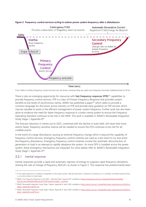

#### <span id="page-17-0"></span>**Figure 2 Frequency control services acting to restore power system frequency after a disturbance**



From Table 4, tertiary frequency control services are not shown, because they are used once frequency has been stabilised back to 50 Hz.

There is also an emerging opportunity for resources with **fast frequency response (FFR)**<sup>43</sup> capabilities to provide frequency control services. FFR is a class of Primary Frequency Response that provides system benefits at low levels of synchronous inertia. AEMO has published a paper<sup>44</sup> which seeks to provide a common language for discussion across industry on FFR and provide early guidance on FFR services which may be valuable to assist in the efficient management of power system frequency. Further work has also been done to evidence the need for faster frequency response in a lower inertia system to ensure the Frequency Operating Standard continues to be met in the NEM. This work is available in AEMO's Renewable Integration Study Stage 1, Appendix B<sup>45</sup>.

The forecast reduction in inertia out to 2025, combined with the decline in load relief, will mean that more, and/or faster, frequency sensitive reserve will be needed to ensure the FOS continues to be met for all credible events.

In the event of a large disturbance causing an extreme frequency change which is beyond the capability of frequency control services, emergency frequency control schemes are used as a last resort to try and arrest the frequency disturbance. Emergency frequency control schemes involve the automatic disconnection of generation or load in an attempt to rapidly rebalance the system. As more DPV is installed across the power system, these emergency mechanisms are impacted, for more details refer to AEMO's Renewable Integration Study Stage 1, Appendix A<sup>46</sup>.

#### 3.2.1 Inertial response

Inertial responses provide a rapid and automatic injection of energy to suppress rapid frequency deviations, slowing the rate of change of frequency (RoCoF), as shown in Figure 2. This response has predominantly been

<sup>&</sup>lt;sup>43</sup> A very rapid response to re-balance megawatts on the power system. May be automatic in response to frequency, or a centrally controlled response (that is, a control scheme to shed load).

<sup>44</sup> AEMO. *Fast Frequency Response in the NEM – Working Paper*, August 2017, available at [https://www.aemo.com.au/-/media/Files/Electricity/NEM/](https://www.aemo.com.au/-/media/Files/Electricity/NEM/Security_and_Reliability/Reports/2017/FFR-Working-Paper---Final.pdf) [Security\\_and\\_Reliability/Reports/2017/FFR-Working-Paper---Final.pdf.](https://www.aemo.com.au/-/media/Files/Electricity/NEM/Security_and_Reliability/Reports/2017/FFR-Working-Paper---Final.pdf)

<sup>45</sup> AEMO. *Renewable Integration Study Stage 1 Report, Appendix B.* April 2020, available a[t https://aemo.com.au/-/media/files/major-publications/ris/2020/ris](https://aemo.com.au/-/media/files/major-publications/ris/2020/ris-stage-1-appendix-b.pdf?la=en)[stage-1-appendix-b.pdf?la=en.](https://aemo.com.au/-/media/files/major-publications/ris/2020/ris-stage-1-appendix-b.pdf?la=en)

<sup>46</sup> AEMO. *Renewable Integration Study Stage 1 Report, Appendix A,* April 2020, available a[t https://aemo.com.au/-/media/files/major-publications/ris/2020/ris](https://aemo.com.au/-/media/files/major-publications/ris/2020/ris-stage-1-appendix-a.pdf?la=en)[stage-1-appendix-a.pdf?la=en.](https://aemo.com.au/-/media/files/major-publications/ris/2020/ris-stage-1-appendix-a.pdf?la=en)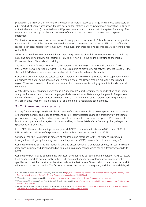provided in the NEM by the inherent electromechanical inertial response of large synchronous generators, as a by-product of energy production. It arises because the rotating parts of synchronous generating units (such as the turbine and rotor) connected to an AC power system spin in lock step with the system frequency. The response is provided by the physical properties of the machine, and does not require control system interaction.

This inertial response was historically abundant in many parts of the network. This is, however, no longer the case in certain parts of the network that have high levels of inverter-based resources (IBR). A lack of inertial response can present risks to system security in the event that these regions become separated from the rest of the NEM.

AEMO is required to calculate the minimum inertia requirements of each inertia sub-network (region) in the NEM and determine if an inertia shortfall is likely to exist now or in the future, according to the Inertia Requirements and Shortfalls Methodology<sup>47</sup>.

The inertia outlook for each NEM inertia sub-region is listed in the  $ISP^{48}$ . Following declaration of a shortfall, transmission network service providers (TNSPs) are required to provide inertia network services to address the shortfall. AEMO has so far declared inertia shortfalls in South Australia and Tasmania.

Currently, inertia thresholds are calculated for a region with a credible or protected risk of separation and for an islanded region following separation for a credible trip of the largest credible risk within the islanded region. There are currently no formal requirements for minimum inertia during system intact under normal conditions.

AEMO's Renewable Integration Study Stage 1, Appendix B*<sup>49</sup>* report recommends consideration of an inertia safety net for system intact, that can be progressively lowered to facilitate a staged approach. The proposed inertia safety net for system intact would operate in parallel with the existing regional inertia requirements that are in place when there is a credible risk of islanding, or a region has been islanded.

#### 3.2.2 Primary frequency response

Primary frequency response (PFR) is the first stage of frequency control in a power system. It is the response of generating systems and loads to arrest and correct locally detected changes in frequency by providing a proportionate change in their active power output or consumption, as shown in [Figure 2.](#page-17-0) PFR is automatic; it is not driven by a centralised system of control and begins immediately after a frequency change beyond a specified level is detected.

In the NEM, the normal operating frequency band (NOFB) is currently set between 49.85 Hz and 50.15 Hz<sup>50</sup>. PFR provides a continuum of response and is relevant both outside and within the NOFB.

Outside of the NOFB, a minimum amount of headroom and footroom for PFR to respond is procured through the contingency frequency control ancillary services (FCAS) markets (fast, slow, and delayed).

Contingency events, such as the sudden failure and disconnection of a generator or load, can cause a sudden imbalance in supply and demand, leading to a rapid frequency change which can shift frequency outside its NOFB.

Contingency FCAS acts to contain these significant deviations and co-operate with regulation FCAS to restore the frequency back to normal levels. In the NEM, these contingency raise or lower services are currently specified such that they must act within 6 seconds for the fast service, 60 seconds for the slow service, and 5 minutes for the delayed service. The fast service arrests the deviation in frequency and the slow and delayed

<sup>47</sup> AEMO. *Inertia Requirements Methodology,* July 2018, available a[t https://www.aemo.com.au/-/media/Files/Electricity/NEM/Security\\_and\\_Reliability/System-](https://www.aemo.com.au/-/media/Files/Electricity/NEM/Security_and_Reliability/System-Security-Market-Frameworks-Review/2018/Inertia_Requirements_Methodology_PUBLISHED.pdf)[Security-Market-Frameworks-Review/2018/Inertia\\_Requirements\\_Methodology\\_PUBLISHED.pdf.](https://www.aemo.com.au/-/media/Files/Electricity/NEM/Security_and_Reliability/System-Security-Market-Frameworks-Review/2018/Inertia_Requirements_Methodology_PUBLISHED.pdf)

<sup>48</sup> AEMO's ISP documentation is available at [https://aemo.com.au/energy-systems/major-publications/integrated-system-plan-isp.](https://aemo.com.au/energy-systems/major-publications/integrated-system-plan-isp)

<sup>49</sup> AEMO. *Renewable Integration Study Stage 1, Appendix B,* April 2020, available a[t https://aemo.com.au/-/media/files/major-publications/ris/2020/ris-stage-](https://aemo.com.au/-/media/files/major-publications/ris/2020/ris-stage-1-appendix-b.pdf?la=en)[1-appendix-b.pdf?la=en.](https://aemo.com.au/-/media/files/major-publications/ris/2020/ris-stage-1-appendix-b.pdf?la=en)

<sup>50</sup> Reliability Panel, *Frequency Operating Standard*, November 2017, available a[t https://www.aemc.gov.au/sites/default/files/content/c2716a96-e099-441d-](https://www.aemc.gov.au/sites/default/files/content/c2716a96-e099-441d-9e46-8ac05d36f5a7/REL0065-The-Frequency-Operating-Standard-stage-one-final-for-publi.pdf)[9e46-8ac05d36f5a7/REL0065-The-Frequency-Operating-Standard-stage-one-final-for-publi.pdf](https://www.aemc.gov.au/sites/default/files/content/c2716a96-e099-441d-9e46-8ac05d36f5a7/REL0065-The-Frequency-Operating-Standard-stage-one-final-for-publi.pdf)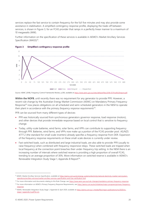services replace the fast service to contain frequency for the full five minutes and may also provide some assistance in stabilisation. A simplified contingency response profile, displaying the trade-off between services, is shown in Figure 3, for an FCAS provider that ramps in a perfectly linear manner to a maximum of 10 megawatts (MW).

Further information on the specification of these services is available in AEMO's Market Ancillary Services Specification (MASS)<sup>51</sup>.



#### <span id="page-19-0"></span>**Figure 3 Simplified contingency response profile**

Source: AEMC (2018), Frequency Control Frameworks Review, p.206, available a[t https://www.aemc.gov.au/sites/default/files/2018-07/Final%20report.pdf.](https://www.aemc.gov.au/sites/default/files/2018-07/Final%20report.pdf)

**Within the NOFB**, until recently there was no requirement for any generator to provide PFR. However, a recent rule change by the Australian Energy Market Commission (AEMC) on Mandatory Primary Frequency Response*<sup>52</sup>* now places obligations on all scheduled and semi-scheduled generators in the NEM to operate their plant in accordance with the *primary frequency response requirements*<sup>53</sup> .

PFR can be sourced from many different types of devices:

- PFR was historically sourced from synchronous generators governor response, load response (motors), and other devices that provide immediate response based on local control that is sensitive to frequency change.
- Today, utility-scale batteries, wind farms, solar farms, and VPPs can contribute to supporting frequency through PFR. Batteries, wind farms, and VPPs now make up a portion of the FCAS provider pool. AS/NZS 4777.2 (the standard for small-scale inverters) already specifies a frequency response from DER. Expansion of the frequency response requirements on these small-scale devices is currently under review.
- Fast switched loads, such as distributed and large industrial loads, are also able to provide PFR (usually to raise frequency) when combined with frequency responsive relays. These switched loads are tripped when local frequency at the connection point breaches their under-frequency trip setting. In the NEM there is an increasing number of intervals where switched reserve is providing a high proportion of overall FCAS, trending to an average proportion of 30%. More information on switched reserve is available in AEMO's Renewable Integration Study Stage 1, Appendix B Report<sup>54</sup>.

<sup>51</sup> AEMO, Market Ancillary Services Specification*,* available a[t https://aemo.com.au/en/energy-systems/electricity/national-electricity-market-nem/system](https://aemo.com.au/en/energy-systems/electricity/national-electricity-market-nem/system-operations/ancillary-services/market-ancillary-services-specification-and-fcas-verification-tool)[operations/ancillary-services/market-ancillary-services-specification-and-fcas-verification-tool.](https://aemo.com.au/en/energy-systems/electricity/national-electricity-market-nem/system-operations/ancillary-services/market-ancillary-services-specification-and-fcas-verification-tool)

<sup>&</sup>lt;sup>52</sup> For more information and documents relating to this Rule Change, see https://www.aemc.gov.au/rule-changes/mandatory-primary-frequency-response.

<sup>53</sup> For more information on AEMO's Primary Frequency Response Requirements, se[e https://aemo.com.au/en/initiatives/major-programs/primary-frequency](https://aemo.com.au/en/initiatives/major-programs/primary-frequency-response)[response.](https://aemo.com.au/en/initiatives/major-programs/primary-frequency-response)

<sup>54</sup> AEMO, Renewable Integration Study Stage 1, Appendix B, April 2020, available at [https://aemo.com.au/-/media/files/major-publications/ris/2020/ris](https://aemo.com.au/-/media/files/major-publications/ris/2020/ris-stage-1-appendix-b.pdf?la=en)[stage-1-appendix-b.pdf?la=en.](https://aemo.com.au/-/media/files/major-publications/ris/2020/ris-stage-1-appendix-b.pdf?la=en)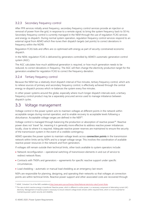#### 3.2.3 Secondary frequency control

After PFR services initially arrest frequency, secondary frequency control services provide an injection or removal of power from the grid, in response to a remote signal, to bring the system frequency back to 50 Hz. Secondary frequency control is currently managed in the NEM through the use of regulation FCAS services and energy re-dispatch. During normal system operation, regulation frequency control services respond to an external signal from AEMO which fine-tunes their dispatch targets (set points) to correct deviations in frequency within the NOFB.

Regulation FCAS bids and offers are co-optimised with energy as part of security-constrained economic dispatch.

In the NEM, regulation FCAS is delivered by generators controlled by AEMO's automatic generation control system (AGC).

The AGC calculates how much additional generation is required, or how much generation needs to be reduced, to correct deviations in frequency. The AGC will then change the electricity production target for the generators enabled for regulation FCAS to correct the frequency deviation.

#### 3.2.4 Tertiary frequency control

Because the NEM has a relatively short dispatch interval of five minutes, tertiary frequency control, which acts to relieve sources of primary and secondary frequency control, is effectively achieved through the central energy re-dispatch process which re-balances the system every five minutes.

In other power systems around the globe, especially where much longer dispatch intervals exist, a tertiary frequency control product may be a separately procured service used to manage imbalance between dispatch cycles.

### <span id="page-20-0"></span>3.3 Voltage management

Voltage control in the power system acts to maintain voltages at different points in the network within acceptable ranges during normal operation, and to enable recovery to acceptable levels following a disturbance. Acceptable voltage ranges are defined in the NER<sup>55</sup>.

Voltage control is managed through balancing the production or absorption of reactive power<sup>56</sup>. Reactive power does not 'travel' far, meaning it is generally more effective to address reactive power imbalances locally, close to where it is required. Adequate reactive power reserves are maintained to ensure the security of the transmission system in the event of a credible contingency.

AEMO operates the power system to maintain voltage levels across **connection points** in the transmission network within limits set by NSPs and to a target voltage range. This involves the coordination of available reactive power resources in the network and from generators.

If voltages still remain outside their technical limits, other tools available to system operators include:

- Network reconfiguration operational switching of transmission elements in and out of service to redirect network flows.
- Contracts with TNSPs and generators agreements for specific reactive support under specific circumstances.
- Load shedding automatic or manual load shedding as an emergency last resort.

NSPs are responsible for planning, designing, and operating their networks so that voltages at connection points are within technical limits. Reactive power support and other associated costs are recovered through

<sup>55</sup> AEMC. Schedule 5.1a of the NER, available at [http://www.aemc.gov.au/Energy-Rules/National-electricity-rules/Current-Rules.](http://www.aemc.gov.au/Energy-Rules/National-electricity-rules/Current-Rules)

<sup>56</sup> The rate at which reactive energy is transferred. Reactive power, which is different to active power, is a necessary component of alternating current (AC) electricity. Management of reactive power is necessary to ensure network voltage levels remains within required limits, which is in turn essential for maintaining power system security and reliability.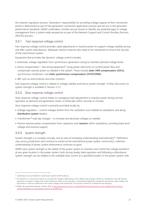the network regulation process. Generators' responsibility for providing voltage support at their connection points is determined as part of the generation connection application process and set out in the generator performance standards. AEMO undertakes a further annual review to identify any potential gaps in voltage management from a system-wide perspective as part of the Network Support and Control Ancillary Services (NSCAS) process.

#### 3.3.1 Fast response voltage control

Fast response voltage control provides rapid adjustments in reactive power to support voltage stability during and after system disturbances. Adequate reactive reserves also need to be maintained to ensure the security of the transmission system.

Equipment that provides fast dynamic voltage control includes:

- Automatic voltage regulation from synchronous generators acting to maintain planned voltage levels.
- Active compensation fast acting equipment<sup>57</sup> using power electronics to control power flow and compensate reactive power as needed in the system. These include **static VAR compensators (SVCs)**, synchronous condensers, and **static synchronous compensators (STATCOMS)**.
- IBR, such as wind turbines and solar inverters.

Fast response voltage control is related to voltage stability and hence system strength. Further discussion on system strength is available in Section 3.3.3.

#### 3.3.2 Slow response voltage control

Slow response voltage control relates to managing small adjustments to reactive power during normal operation as demand and generation varies, in timescales within seconds or minutes.

Slow response voltage control is primarily provided locally by:

- Voltage regulators control voltages farther from the substation and installed at substations and along **distribution system** feeders.
- Transformer<sup>58</sup> load tap changes to increase and decrease voltages as needed.
- Passive reactive power compensation from capacitors and **reactors** within substations, providing base level voltage and reactive support.

#### 3.3.3 System strength

System strength is a complex concept, and an area of emerging understanding internationally<sup>59</sup>. Definitions vary across jurisdictions and continue to evolve as the international power system community's collective understanding of power system phenomena continues to grow.

AEMO sees system strength as the ability of the power system to maintain and control the voltage waveform at any given location in the power system, both during steady state operation and following a disturbance. System strength can be related to the available fault current at a specified location in the power system, with

<sup>&</sup>lt;sup>57</sup> Collectively known as flexible AC transmission systems (FACTS) devices.

<sup>58</sup> A transformer is a device that reduces or increases the voltage of alternating current. Where a tap changer is fitted to a transformer, each tap position represents a change in voltage ratio of the transformer which can be manually or automatically adjusted to change the transformer output voltage. The tap position is used as a reference for the output voltage of the transformer. This process is known as "transformer tap changing".

<sup>59</sup> AEMO, RIS International Review, October 2019, a[t https://www.aemo.com.au/-/media/files/electricity/nem/security\\_and\\_reliability/future-energy](https://www.aemo.com.au/-/media/files/electricity/nem/security_and_reliability/future-energy-systems/2019/aemo-ris-international-review-oct-19.pdf?la=en)[systems/2019/aemo-ris-international-review-oct-19.pdf?la=en.](https://www.aemo.com.au/-/media/files/electricity/nem/security_and_reliability/future-energy-systems/2019/aemo-ris-international-review-oct-19.pdf?la=en)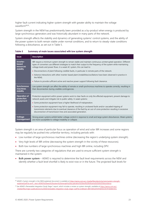higher fault current indicating higher system strength with greater ability to maintain the voltage waveform<sup>60,61</sup>.

System strength in the NEM has predominantly been provided as a by-product when energy is produced by large synchronous generators and was historically abundant in many parts of the network.

System strength affects the stability and dynamics of generating systems' control systems, and the ability of the power system to both remain stable under normal conditions, and to return to steady-state conditions following a disturbance, as set out in Table 5.

| <b>Issue</b>                                 | <b>Description</b>                                                                                                                                                                                                                                                                                                 |
|----------------------------------------------|--------------------------------------------------------------------------------------------------------------------------------------------------------------------------------------------------------------------------------------------------------------------------------------------------------------------|
| Inverter-<br>based<br>resources<br>stability | IBR require a minimum system strength to remain stable and maintain continuous uninterrupted operation. Different<br>types of converters use different strategies to match their output to the frequency of the system while maintaining<br>voltage levels and power flows. In a weak AC system, this can lead to: |
|                                              | • Disconnections of plant following credible faults, in particular in remote parts of the network.                                                                                                                                                                                                                 |
|                                              | • Adverse interactions with other inverter-based plant (instabilities/oscillations have been observed in practice in<br>the NEM).                                                                                                                                                                                  |
|                                              | • Failure to provide sufficient active and reactive power support following fault clearance.                                                                                                                                                                                                                       |
| Synchronous<br>machines<br>stability         | Low system strength can affect the ability of remote or small synchronous machines to operate correctly, resulting in<br>their disconnection during credible contingencies.                                                                                                                                        |
| <b>Operation of</b><br>protection            | Protection equipment within power systems work to clear faults on only the effected equipment, prevent damage to<br>network assets and mitigate risk to public safety. In weak systems:                                                                                                                            |
| equipment                                    | • Some protection equipment have a higher likelihood of maloperation.                                                                                                                                                                                                                                              |
|                                              | • Some protection equipment may fail to operate, resulting in uncleared faults and/or cascaded tripping of<br>transmission elements due to eventual clearance of the fault by an out-of-zone protection resulting in excessive<br>disconnection of transmission lines and associated generation.                   |
| Voltage<br>management                        | Strong power systems exhibit better voltage control in response to small and large system disturbances. Weak systems<br>are more susceptible to voltage instability or collapse.                                                                                                                                   |

<span id="page-22-0"></span>**Table 5 Summary of main issues associated with low system strength**

System strength is an area of particular focus as operation of wind and solar IBR increases and some regions may be regularly be pushed into unfamiliar territory, including periods with:

- Low number of large synchronous machines online (decreasing the region's underlying system strength).
- Very high levels of IBR online (decreasing the system strength in the vicinity of these resources).
- Both low numbers of large synchronous machines and high IBR online, including DPV.

There are currently two categories of regulations that are used to ensure sufficient system strength is maintained in the system:

• **Bulk power system** – AEMO is required to determine the fault level requirements across the NEM and identify whether a fault level shortfall is likely to exist now or in the future. The projected fault levels for

<sup>60</sup> AEMO's System strength in the NEM explained document is available a[t https://aemo.com.au/-/media/files/electricity/nem/system-strength](https://aemo.com.au/-/media/files/electricity/nem/system-strength-explained.pdf?la=en#:~:text=AEMO%20sees%20system%20strength%20as,operation%20and%20following%20a%20disturbance.)[explained.pdf?la=en#:~:text=AEMO%20sees%20system%20strength%20as,operation%20and%20following%20a%20disturbance.](https://aemo.com.au/-/media/files/electricity/nem/system-strength-explained.pdf?la=en#:~:text=AEMO%20sees%20system%20strength%20as,operation%20and%20following%20a%20disturbance.)

<sup>&</sup>lt;sup>61</sup> See AEMO's Renewable Integration Study Stage 1 report, which includes a review on system strength, available a[t https://aemo.com.au/-](https://aemo.com.au/-/media/files/major-publications/ris/2020/renewable-integration-study-stage-1.pdf?la=en&hash=BEF358122FD1FAD93C9511F1DD8A15F2) [/media/files/major-publications/ris/2020/renewable-integration-study-stage-1.pdf?la=en&hash=BEF358122FD1FAD93C9511F1DD8A15F2.](https://aemo.com.au/-/media/files/major-publications/ris/2020/renewable-integration-study-stage-1.pdf?la=en&hash=BEF358122FD1FAD93C9511F1DD8A15F2)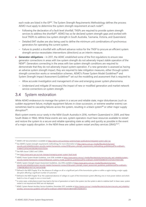each node are listed in the ISP<sup>62</sup>. The System Strength Requirements Methodology defines the process AEMO must apply to determine the system strength requirement at each node $63$ .

- Following the declaration of a fault level shortfall, TNSPs are required to provide system strength services to address the shortfall<sup>64</sup>. AEMO has so far declared system strength gaps and worked with local TNSPs to address low system strength in South Australia, Tasmania, Victoria, and Queensland.
- Detailed EMT studies are also being used to define the minimum unit combinations of synchronous generators for operating the current system.
- Failure to predict a shortfall with sufficient advance notice for the TNSP to procure an efficient system strength service necessitates interventions (directions) as an interim measure.
- **Generator obligations** in 2017, the AEMC established some of the first regulations to ensure new generator connections in areas with low system strength do not adversely impact stable operation of the NEM<sup>65</sup>. Generators connecting in the areas with low system strength conditions are required to demonstrate that they do not adversely impact system operation. If a new generator is assessed as having an adverse system strength impact, they are required to take mitigation measures, either through system strength connection works or remediation schemes. AEMO's Power System Model Guidelines<sup>66</sup> and System Strength Impact Assessment Guidelines<sup>67</sup> set out the modelling and assessment that is required to:
	- Allow accurate investigation and management of new and emerging power system phenomena.
	- Understand and mitigate (if necessary) the impact of new or modified generation and market network service connections on system strength.

### <span id="page-23-0"></span>3.4 System restoration

While AEMO endeavours to manage the system in a secure and reliable state, major disturbances (such as sudden equipment failure, multiple equipment failures in close succession, or extreme weather events) can sometimes lead to cascading failures across the system, resulting in a black system<sup>68</sup> or other major supply disruption<sup>69</sup>.

Black system events occur rarely in the NEM (South Australia in 2016, northern Queensland in 2009, and New South Wales in 1964). While these events are rare, system operators must have resources available to restart and restore the system to a secure and reliable operating state as safely and quickly as possible in the event of a major supply disruption. In the NEM these are called system restart ancillary services (SRAS)<sup>70,71</sup>.

<sup>&</sup>lt;sup>62</sup> AEMO's ISP documentation is available at [https://aemo.com.au/energy-systems/major-publications/integrated-system-plan-isp.](https://aemo.com.au/energy-systems/major-publications/integrated-system-plan-isp)

<sup>63</sup> See AEMO's System strength requirements methodology for more information a[t https://aemo.com.au/-/media/files/electricity/nem/](https://aemo.com.au/-/media/files/electricity/nem/security_and_reliability/system-security-market-frameworks-review/2018/system_strength_requirements_methodology_published.pdf?la=en&hash=9748847CDF423A9C8829BD1932D7D2A4) [security\\_and\\_reliability/system-security-market-frameworks-review/2018/system\\_strength\\_requirements\\_methodology\\_published.pdf?la=en&hash=](https://aemo.com.au/-/media/files/electricity/nem/security_and_reliability/system-security-market-frameworks-review/2018/system_strength_requirements_methodology_published.pdf?la=en&hash=9748847CDF423A9C8829BD1932D7D2A4) [9748847CDF423A9C8829BD1932D7D2A4.](https://aemo.com.au/-/media/files/electricity/nem/security_and_reliability/system-security-market-frameworks-review/2018/system_strength_requirements_methodology_published.pdf?la=en&hash=9748847CDF423A9C8829BD1932D7D2A4)

<sup>64</sup> See NER clause 5.20B.3 and 5.20B.4.

<sup>65</sup> Se[e https://www.aemc.gov.au/rule-changes/managing-power-system-fault-levels](https://www.aemc.gov.au/rule-changes/managing-power-system-fault-levels)

<sup>66</sup> AEMO, Power System Model Guidelines, June 2018, available a[t https://www.aemo.com.au/-/media/files/electricity/nem/security\\_and\\_reliability/system](https://www.aemo.com.au/-/media/files/electricity/nem/security_and_reliability/system-security-market-frameworks-review/2018/power_systems_model_guidelines_published.pdf?la=en&hash=A3DDF450DBEE1E7C1D7E2E379461538A)[security-market-frameworks-review/2018/power\\_systems\\_model\\_guidelines\\_published.pdf?la=en&hash=A3DDF450DBEE1E7C1D7E2E379461538A](https://www.aemo.com.au/-/media/files/electricity/nem/security_and_reliability/system-security-market-frameworks-review/2018/power_systems_model_guidelines_published.pdf?la=en&hash=A3DDF450DBEE1E7C1D7E2E379461538A)

<sup>67</sup> AEMO, System Strength Impact Assessment Guidelines, July 2018, available a[t https://www.aemo.com.au/-/media/files/electricity/nem/](https://www.aemo.com.au/-/media/files/electricity/nem/security_and_reliability/system-security-market-frameworks-review/2018/system_strength_impact_assessment_guidelines_published.pdf?la=en&hash=771B8F6BC8B3D1787713C741F3A76F8B) [security\\_and\\_reliability/system-security-market-frameworks-review/2018/system\\_strength\\_impact\\_assessment\\_guidelines\\_published.pdf?la=en&hash=](https://www.aemo.com.au/-/media/files/electricity/nem/security_and_reliability/system-security-market-frameworks-review/2018/system_strength_impact_assessment_guidelines_published.pdf?la=en&hash=771B8F6BC8B3D1787713C741F3A76F8B) [771B8F6BC8B3D1787713C741F3A76F8B.](https://www.aemo.com.au/-/media/files/electricity/nem/security_and_reliability/system-security-market-frameworks-review/2018/system_strength_impact_assessment_guidelines_published.pdf?la=en&hash=771B8F6BC8B3D1787713C741F3A76F8B)

<sup>68</sup> Defined in the NER Chapter 10 as 'the absence of *voltage* on all or a significant part of the *transmission system* or within a *region* during a *major supply disruption* affecting a significant number of customers.'

<sup>69</sup> Defined in the NER Chapter 10 as 'the unplanned absence of *voltage* on a part of the *transmission system* affecting one or more *power stations* and which leads to a loss of *supply* to one or more *loads*.'

 $70$  In some cases, a disturbance event may lead to the loss of generation or load in the system, but the system is able to stabilise itself. In these cases, system restart is not required and SRAS are not deployed.

<sup>71</sup> AEMO. System Restart Ancillary Service Guideline, December 2017, available at [https://aemo.com.au/-/media/files/electricity/nem/security\\_and\\_reliability/](https://aemo.com.au/-/media/files/electricity/nem/security_and_reliability/ancillary_services/sras-guideline-2017.pdf?la=en&hash=D4D5FF68CB155BE97D8F61182B659F71) [ancillary\\_services/sras-guideline-2017.pdf?la=en&hash=D4D5FF68CB155BE97D8F61182B659F71.](https://aemo.com.au/-/media/files/electricity/nem/security_and_reliability/ancillary_services/sras-guideline-2017.pdf?la=en&hash=D4D5FF68CB155BE97D8F61182B659F71)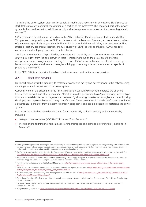To restore the power system after a major supply disruption, it is necessary for at least one SRAS source to start itself up to carry out initial energisation of a section of the system<sup>72,73</sup>. The energised part of the power system is then used to start up additional supply and restore power to more load so that power is gradually restored<sup>74</sup> .

SRAS is procured in each region according to the AEMC Reliability Panel's system restart standard (SRS)<sup>75</sup>. This process is designed to procure SRAS at the least-cost combination of sources, and considers a number of parameters, specifically aggregate reliability (which includes individual reliability, transmission reliability, strategic location, geographic location, and fuel diversity of SRAS) as well as principles AEMO needs to consider when developing boundaries of sub-networks.

SRAS is a service traditionally provided by generators with the ability to start, or remain online, without drawing electricity from the grid. However, there is increasing focus on the provision of SRAS from non-generation technologies and expanding the range of SRAS services that can be offered; for example, battery storage systems and new technologies utilising grid-forming inverters, which may be capable of providing this service<sup>76</sup>.

In the NEM, SRAS can be divided into black start services and restoration support services.

#### 3.4.1 Black start services

Black start capability is the capability to restart a disconnected facility and deliver power to the network using an energy source independent of the power system.

Currently, none of the existing installed IBR has black start capability sufficient to energise the adjacent transmission network and other generation. Almost all installed generation has a 'grid following' inverter type that cannot establish its own voltage source. However, 'grid forming' inverter technologies are currently being developed and deployed by some battery manufacturers. These devices exhibit similar performance to that of a synchronous generator from a system restoration perspective, and could be capable of restarting the power system<sup>77</sup>.

Black start capability has been demonstrated for a range of IBR, both domestically and internationally, including:

- Voltage source converter (VSC) HVDC in Ireland<sup>78</sup> and Denmark<sup>79</sup>.
- The use of grid forming inverters in black starting microgrids and islanded power systems, including in Australia<sup>80</sup>.

 $72$  Some synchronous generation technologies have the capability to start their main generating units using small auxiliary generating plant located on-site, without reliance on external electricity supplies. Some generating systems can continue running in isolation from the rest of network in the event of a major supply disruption, remaining available to support system restoration when requested.

<sup>73</sup> The System Restart Standard, set by the Reliability Panel requires AEMO to procure at least two black start sources in each electrical sub-network. See [https://www.aemc.gov.au/sites/default/files/content/a31030d9-46e3-4842-8735-e09cad092069/System-Restart-Standard.PDF.](https://www.aemc.gov.au/sites/default/files/content/a31030d9-46e3-4842-8735-e09cad092069/System-Restart-Standard.PDF) 

<sup>&</sup>lt;sup>74</sup> Restoration of load must be done in a controlled manner following a major supply disruption to ensure the system remains balanced at all times. This involves a staggered process of bringing on equivalent blocks of additional generation and load.

<sup>75</sup> For information and documents related to this AEMC review, see [https://www.aemc.gov.au/markets-reviews-advice/review-of-the-system-restart](https://www.aemc.gov.au/markets-reviews-advice/review-of-the-system-restart-standard)[standard.](https://www.aemc.gov.au/markets-reviews-advice/review-of-the-system-restart-standard)

<sup>&</sup>lt;sup>76</sup> AEMC, System restart services, standards and testing, Rule determination, April 2020, available a[t https://www.aemc.gov.au/sites/default/files/documents/](https://www.aemc.gov.au/sites/default/files/documents/system_restart_services_standards_and_testing_-_final_determination.pdf) system\_restart\_services\_standards\_and\_testing -\_final\_determination.pdf.

<sup>77</sup> AEMO, future system restart capability, Rule change proposal, July 2019, available a[t https://www.aemc.gov.au/sites/default/files/2019-08/ERC0278%20](https://www.aemc.gov.au/sites/default/files/2019-08/ERC0278%20Rule%20change%20request%20pending.pdf) [Rule%20change%20request%20pending.pdf.](https://www.aemc.gov.au/sites/default/files/2019-08/ERC0278%20Rule%20change%20request%20pending.pdf) 

<sup>78</sup> CIGRE Study Committee C2 – System operation and control, Power system restoration – World practices & future trends, CIGRE Science & Engineering No. 14, June 2019 p.6.

<sup>79</sup> J. B. Kwon, "A live Blackstart test of an HVAC network using soft start capability of a voltage source HVDC converter", presented at CIGRE Aalborg Symposium, June 2019.

<sup>80</sup> ABB public library, accessed at https://library.e.abb.com/public/68b1b939c6ce1cdf83257dc500370bf8/54-60%204m480\_EN\_72dpi.pdf.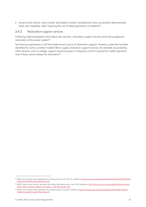• Several wind turbine, solar inverter and battery inverter manufacturers have successfully demonstrated black start capability, often requiring the use of diesel generators or batteries<sup>81</sup>.

#### 3.4.2 Restoration support services

Following initial energisation from black start services, restoration support services assist the progressive restoration of the power system<sup>82</sup>.

Synchronous generation is still the predominant source of restoration support. However, potential has been identified for some currently installed IBR to supply restoration support services; for example, by providing other services, such as voltage support (reactive power) or frequency control required for stable operation, even if they cannot initiate the restoration<sup>83</sup>.

<sup>81</sup> AEMO, future system restart capability, Rule change proposal, July 2019, p.5, available a[t https://www.aemc.gov.au/sites/default/files/2019-08/ERC0278%20](https://www.aemc.gov.au/sites/default/files/2019-08/ERC0278%20Rule%20change%20request%20pending.pdf) [Rule%20change%20request%20pending.pdf.](https://www.aemc.gov.au/sites/default/files/2019-08/ERC0278%20Rule%20change%20request%20pending.pdf)

<sup>82</sup> AEMC, System restart services, standards and testing, Rule determination, April 2020, available a[t https://www.aemc.gov.au/sites/default/files/documents/](https://www.aemc.gov.au/sites/default/files/documents/system_restart_services_standards_and_testing_-_final_determination.pdf) [system\\_restart\\_services\\_standards\\_and\\_testing\\_-\\_final\\_determination.pdf.](https://www.aemc.gov.au/sites/default/files/documents/system_restart_services_standards_and_testing_-_final_determination.pdf)

<sup>83</sup> AEMO, future system restart capability, Rule change proposal, July 2019, available a[t https://www.aemc.gov.au/sites/default/files/2019-08/ERC0278%20](https://www.aemc.gov.au/sites/default/files/2019-08/ERC0278%20Rule%20change%20request%20pending.pdf) [Rule%20change%20request%20pending.pdf.](https://www.aemc.gov.au/sites/default/files/2019-08/ERC0278%20Rule%20change%20request%20pending.pdf)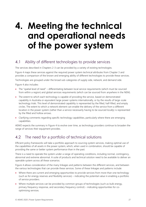## <span id="page-26-0"></span>**4. Meeting the technical and operational needs of the power system**

### <span id="page-26-1"></span>4.1 Ability of different technologies to provide services

The services described in Chapters 2-3 can be provided by a variety of existing technologies.

Figure 4 maps these services against the required power system technical attributes from Chapter 3 and provides a comparison of the known and emerging ability of different technologies to provide these services.

Technologies are grouped under the broad sub-categories of supply side, network, and demand side.

Figure 4 also includes:

- The "spatial level of need" differentiating between local service requirements (which must be sourced from within a region) and global services requirements (which can be sourced from anywhere in the NEM).
- The extent to which each technology is capable of providing the service, based on demonstrated capability in Australia or equivalent large power systems internationally, or by the results of large-scale technology trials. This level of demonstrated capability is represented by the filled, half-filled, and empty circles. The extent to which a network element can enable the delivery of the service from a different location in the power system (rather than a service necessarily having to be sourced locally) is represented by the filled and hollow arrows.
- Clarifying comments regarding specific technology capabilities, particularly where there are emerging capabilities.

AEMO expects the summary in Figure 4 to evolve over time, as technology providers continue to broaden the range of services their equipment provides.

### <span id="page-26-2"></span>4.2 The need for a portfolio of technical solutions

Efficient policy frameworks will take a portfolio approach to sourcing system services, making optimal use of the capabilities of all assets in the power system, which, when used in combination, should be capable of providing the same or better system performance than in the past.

There is a need to operate the system under a range of operating conditions, including normal, contingency, abnormal and extreme abnormal. A suite of products and technical solution need to be available to deliver an operable system across all these scenarios.

Figure 4 allows consideration of the many linkages and patterns between the different services, and between the various technologies that can provide these services. Some of these linkages and patterns include:

- Where there are current and emerging opportunities to provide services from more than one technology (such as for energy reserves and flexibility services) – indicating the potential value in enabling a portfolio of service providers.
- Where multiple services can be provided by common groups of technologies (such as bulk energy, primary frequency response, and secondary frequency control) – indicating opportunities for cooptimising services.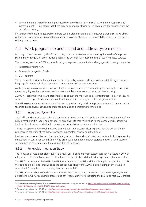• Where there are limited technologies capable of providing a service (such as for inertial response and system strength) – indicating that there may be economic efficiencies in decoupling the services from the provision of energy.

By considering these linkages, policy-makers can develop efficient policy frameworks that ensure availability of these services, drawing on complementary technologies whose collective capabilities can meet the needs of the power system.

### <span id="page-27-0"></span>4.3 Work programs to understand and address system needs

Building on previous work<sup>84</sup>, AEMO is exploring how the requirements for meeting the needs of the power system may change over time, including identifying potential alternative means of sourcing these services.

The three key vehicles AEMO is currently using to explore, communicate and engage with industry on are the:

- Integrated System Plan.
- Renewable Integration Study.
- DER Program.

This document provides a foundational resource for policymakers and stakeholders, establishing a common language for the technical and operational requirements of the power system.

As the energy transformation progresses, the theories and practices associated with power system operation are undergoing continuous review and development by power system operators internationally.

AEMO will continue to work with stakeholders to convey the most up-to-date information. As part of this, we will explore the opportunities and risks of how technical services may need to change over time.

We will also continue to enhance our ability to comprehensively model the power system and understand its technical limits, given changing operational dynamics and emerging technologies.

#### 4.3.1 Integrated System Plan

The ISP<sup>85</sup> is a whole-of-system plan that provides an integrated roadmap for the efficient development of the NEM over the next 20 years and beyond. Its objective is to maximise value to end consumers by designing the lowest cost, secure and reliable energy system capable under a range of scenarios.

This roadmap sets out the optimal development path and presents clear signposts for the actionable ISP projects and other initiatives that are needed immediately, shortly or in the future.

It utilises the opportunities provided by existing technologies and anticipated innovations, including emerging innovations in consumer owned DER, VPPs, large-scale generation, energy storage, networks, and coupled sectors such as gas, water, and the electrification of transport.

#### 4.3.2 Renewable Integration Study

The Renewable Integration study (RIS)<sup>86</sup> is a multi-year plan to maintain system security in a future NEM with a high share of renewable resources. It explores the operability and day-to-day experience of a future NEM.

The RIS forms a cycle with the ISP. The ISP forms inputs into the RIS and the RIS supplies insights into the ISP that can be explored as sensitivities to the central modelling work. AEMO is also looking at other ways in which the RIS insights can inform long-term work at AEMO.

The RIS provides a body of technical evidence on the changing physical needs of the power system, to feed across to the AEMC rule change process and other regulatory work, including the ESB in its Post 2025 project.

<sup>84</sup> AEMO's reports and analysis since 2013, related to future power system security, are available at [https://www.aemo.com.au/Electricity/National-Electricity-](https://www.aemo.com.au/Electricity/National-Electricity-Market-NEM/Security-and-reliability/FPSSP-Reports-and-Analysis)[Market-NEM/Security-and-reliability/FPSSP-Reports-and-Analysis.](https://www.aemo.com.au/Electricity/National-Electricity-Market-NEM/Security-and-reliability/FPSSP-Reports-and-Analysis)

<sup>85</sup> For more information on AEMO's ISP, see [https://aemo.com.au/energy-systems/major-publications/integrated-system-plan-isp.](https://aemo.com.au/energy-systems/major-publications/integrated-system-plan-isp)

<sup>86</sup> For more information on AEMO's RIS, se[e https://aemo.com.au/en/energy-systems/major-publications/renewable-integration-study-ris.](https://aemo.com.au/en/energy-systems/major-publications/renewable-integration-study-ris)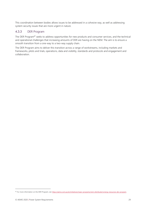This coordination between bodies allows issues to be addressed in a cohesive way, as well as addressing system security issues that are more urgent in nature.

#### 4.3.3 DER Program

The DER Program<sup>87</sup> seeks to address opportunities for new products and consumer services, and the technical and operational challenges that increasing amounts of DER are having on the NEM. The aim is to ensure a smooth transition from a one-way to a two-way supply chain.

The DER Program aims to deliver this transition across a range of workstreams, including markets and frameworks, pilots and trials, operations, data and visibility, standards and protocols and engagement and collaboration.

<sup>87</sup> For more information on the DER Program, see https://aemo.com.au/en/initiatives/major-programs/nem-distributed-energy-resources-der-program.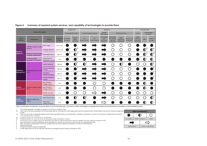|                       |                                                    |                                                    | Supply side            |                                               |                                 |                          | <b>Network</b>         |                                                        |                                                               |                                             | <b>Demand side</b>                    |                                                    |            |                                     |
|-----------------------|----------------------------------------------------|----------------------------------------------------|------------------------|-----------------------------------------------|---------------------------------|--------------------------|------------------------|--------------------------------------------------------|---------------------------------------------------------------|---------------------------------------------|---------------------------------------|----------------------------------------------------|------------|-------------------------------------|
| Service description   |                                                    |                                                    | Centralised generation |                                               |                                 | Transfer between regions |                        | <b>Stabilising devices</b><br>within regions           |                                                               | Load                                        |                                       | <b>Decentralised</b><br><b>resources</b>           |            |                                     |
| System<br>Attribute   | Requirement                                        | Service                                            | of need                | <b>Spatial level Synchronous</b><br>generator | Inverter-<br>based<br>resources | DC.<br>interconnection   | AC.<br>interconnection | <b>Transmission</b><br>and<br>distribution<br>networks | Grid reactor,<br>grid capacitor,<br>static VAR<br>compensator | <b>Static</b><br>synchronous<br>compensator | Synchronous<br>condenser <sup>1</sup> | Large<br>industrial,<br>residential,<br>commercial | <b>DPV</b> | <b>Battery</b><br>storage           |
|                       | Sufficient supply to match                         | <b>Bulk energy</b>                                 | System wide            |                                               |                                 |                          |                        |                                                        |                                                               |                                             |                                       |                                                    |            |                                     |
| Resource              | demand                                             | <b>Strategic Reserves</b>                          | System wide            |                                               | Зa<br>I)                        |                          |                        |                                                        |                                                               | $\mathcal{L}$                               |                                       |                                                    |            | $\bigcap^3$                         |
| Adequacy              | Respond to large changes<br>in energy requirements | Operating reserves                                 | Regional               | 2b                                            | . 3a<br>$\bullet$               |                          |                        |                                                        |                                                               |                                             |                                       |                                                    | 3b<br>D    | $\overline{\mathbf{O}}^{\text{3b}}$ |
|                       | <b>Transport energy</b><br>generated to customers  | <b>Transmission &amp;</b><br>distribution services | Local                  | ₫                                             |                                 |                          |                        |                                                        |                                                               |                                             |                                       | 4                                                  | D          | D                                   |
|                       | Maintain frequency withir<br>limits                | Inertial response                                  | Regional               |                                               | $\overline{D}^5$                | $\mathbf{O}^5$           |                        |                                                        |                                                               | $\overline{D}^6$                            |                                       |                                                    |            | $\mathbf{D}^{\mathsf{s}}$           |
| Frequency             |                                                    | <b>Primary frequency</b><br>control                | Regional               |                                               | 8                               |                          |                        |                                                        | e i                                                           | . .                                         |                                       |                                                    |            |                                     |
| Management            |                                                    | Secondary<br>frequency control                     | Regional               |                                               | 8                               |                          |                        |                                                        | r.                                                            |                                             | ◠                                     |                                                    |            | S,                                  |
|                       |                                                    | <b>Tertiary frequency</b><br>control               | Regional               |                                               |                                 |                          |                        |                                                        |                                                               |                                             |                                       |                                                    |            | 8,                                  |
|                       |                                                    | Fast response<br>voltage control                   | Local                  |                                               |                                 |                          |                        |                                                        |                                                               |                                             |                                       |                                                    |            |                                     |
| Voltage<br>Management | Maintain voltages within<br><b>limits</b>          | Slow response<br>voltage control                   | Local                  |                                               |                                 |                          |                        |                                                        |                                                               |                                             |                                       |                                                    |            |                                     |
|                       |                                                    | System strength                                    | Local                  |                                               |                                 |                          |                        |                                                        |                                                               |                                             |                                       |                                                    |            |                                     |
| System                | Ability to restore the                             | <b>Black Start Services</b>                        | Local                  |                                               | ۹.<br>D                         |                          |                        |                                                        | and the control                                               | Γ.                                          |                                       |                                                    |            | Ŋ                                   |
| restoration           | system                                             | <b>Restoration</b><br><b>Support Services</b>      | Local                  |                                               |                                 |                          |                        |                                                        |                                                               |                                             |                                       |                                                    |            |                                     |

#### **Figure 4 Summary of required system services, and capability of technologies to provide them**

<span id="page-29-0"></span>Note: Classifications are indicative of general ability of each technology type. The extent to which technologies can provide each service must be assessed on the specifics of each individual system

- This includes generators with ability to operate in synchronous condenser mode.  $\mathbf{1}$
- Za. While many synchronous generators can provide energy reserves, some less firm technologies (solar thermal or pumped hydro) will be limited by the amount of energy storage they include.
- 2b. There is a wide range of capabilities regarding synchronous generators ability to provide flexibility. Ultimately unit flexibility is a product of individual unit design and the economic circumstances around it's dispatch..
- 3a. Limited by duration for which service can be delivered.
- 3b. Limited by duration for which service can be delivered; existing controllability is limited.
- Einmeis of the state of the service sure of the state of the state of the state of the state of the provision of local voltage support in the provision of local voltage support from generators and loads can improve the net  $\mathbf{A}$
- 5. Some fast frequency response capabilities can be substituted for a portion of synchronous inertia, but are not considered equivalent.
- $6.$ Static synchronous compensators with energy storage devices are being trialled as an emergency provider of inertial response.
- Except for load relief.  $\overline{7}$
- 8. Includes fast frequency response capabilities.
- 9. Inverter-based resources can provide black start services, although none are currently contracted for SRAS.

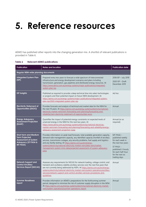## <span id="page-30-0"></span>**5. Reference resources**

AEMO has published other reports into the changing generation mix. A shortlist of relevant publications is provided in [Table 6.](#page-30-1)

| <b>Publication</b>                                                                                                                        | <b>Notes and location</b>                                                                                                                                                                                                                                                                                                                                                                                                                                                       |                                                                                                                                                                     |  |  |  |  |
|-------------------------------------------------------------------------------------------------------------------------------------------|---------------------------------------------------------------------------------------------------------------------------------------------------------------------------------------------------------------------------------------------------------------------------------------------------------------------------------------------------------------------------------------------------------------------------------------------------------------------------------|---------------------------------------------------------------------------------------------------------------------------------------------------------------------|--|--|--|--|
| Regular NEM-wide planning documents                                                                                                       |                                                                                                                                                                                                                                                                                                                                                                                                                                                                                 |                                                                                                                                                                     |  |  |  |  |
| <b>Integrated System Plan</b><br>(ISP)                                                                                                    | 2018 ISP - July 2018<br>2020 ISP - Draft<br>December 2019                                                                                                                                                                                                                                                                                                                                                                                                                       |                                                                                                                                                                     |  |  |  |  |
| <b>ISP Insights</b>                                                                                                                       | Published as required to provide a deep technical dive into select technologies<br>or projects and their potential impact on future NEM development. At<br>https://aemo.com.au/energy-systems/major-publications/integrated-system-<br>plan-isp/2020-integrated-system-plan-isp.                                                                                                                                                                                                |                                                                                                                                                                     |  |  |  |  |
| <b>Electricity Statement of</b><br>Opportunities (ESOO)                                                                                   | Provides forecasts and analysis of technical and market data for the NEM for<br>the next 10 years. At https://aemo.com.au/energy-systems/electricity/national-<br>electricity-market-nem/nem-forecasting-and-planning/forecasting-and-<br>reliability/nem-electricity-statement-of-opportunities-esoo.                                                                                                                                                                          | Annual                                                                                                                                                              |  |  |  |  |
| <b>Energy Adequacy</b><br><b>Assessment Projection</b><br>(EAAP)                                                                          | Quantifies the impact of potential energy constraints on expected levels of<br>unserved energy in the NEM for the next two years. At<br>https://www.aemo.com.au/energy-systems/electricity/national-electricity-<br>market-nem/nem-forecasting-and-planning/forecasting-and-reliability/energy-<br>adequacy-assessment-projection-eaap                                                                                                                                          | Annual (or as<br>required)                                                                                                                                          |  |  |  |  |
| <b>Short term and Medium</b><br><b>Term Projected</b><br><b>Assessment of System</b><br><b>Adequacy (ST PASA &amp;</b><br><b>MT PASA)</b> | Provides information on peak load forecasts, total available generation capacity,<br>demand-side management capacity, any identified capacity shortfall of ancillary<br>services, transmission outages, any security problems, fuel supply and logistics<br>and any facility testing. At https://aemo.com.au/en/energy-<br>systems/electricity/national-electricity-market-nem/data-nem/market-<br>management-system-mms-data/projected-assessment-of-system-adequacy-<br>pasa. | MT PASA -<br>published weekly<br>for each week in<br>the next two years<br>ST PASA-<br>published 2-hourly<br>for each half-hour<br>for the next six<br>trading days |  |  |  |  |
| <b>Network Support and</b><br><b>Control Ancillary</b><br><b>Services Report (NSCAS)</b>                                                  | Assesses any requirements for NSCAS for network loading, voltage control, and<br>transient and oscillatory stability ancillary services over the next five years that<br>are not currently being addressed by NSPs. At https://aemo.com.au/en/energy-<br>systems/electricity/national-electricity-market-nem/system-operations/ancillary-<br>services/network-support-and-control-ancillary-services-procedures-and-<br>guidelines.                                             | Annual                                                                                                                                                              |  |  |  |  |
| <b>Summer Readiness</b><br>report                                                                                                         | Provides information on AEMO's preparations for the forthcoming summer<br>period, designed to minimise the risk of customer supply disruption in the NEM.<br>At https://aemo.com.au/energy-systems/electricity/national-electricity-market-<br>nem/system-operations/summer-operations-report.                                                                                                                                                                                  | Annual                                                                                                                                                              |  |  |  |  |

#### <span id="page-30-1"></span>**Table 6 Relevant AEMO publications**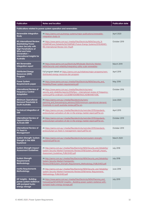| <b>Publication</b>                                                                                                                                                                                                   | <b>Notes and location</b>                                                                                                                                                                                |                  |  |  |  |  |
|----------------------------------------------------------------------------------------------------------------------------------------------------------------------------------------------------------------------|----------------------------------------------------------------------------------------------------------------------------------------------------------------------------------------------------------|------------------|--|--|--|--|
|                                                                                                                                                                                                                      | Publications related to power system operation and renewables                                                                                                                                            |                  |  |  |  |  |
| <b>Renewable Integration</b><br>Study                                                                                                                                                                                | At https://aemo.com.au/energy-systems/major-publications/renewable-<br>integration-study-ris.                                                                                                            | April 2020       |  |  |  |  |
| <b>RIS International Review:</b><br><b>Maintaining Power</b><br><b>System Security with</b><br><b>High Penetrations of</b><br><b>Wind and Solar</b><br>Generation-<br>International insights for<br><b>Australia</b> | At https://www.aemo.com.au/-/media/Files/Electricity/NEM/Security %<br>E2%80%8Cand Reliability%E2%80%8C/Future-Energy-Systems/2019/AEMO-<br>RIS-International-Review-Oct-19.pdf.                         | October 2019     |  |  |  |  |
| <b>WA Renewable</b><br><b>Integration report</b>                                                                                                                                                                     | At https://www.aemo.com.au/Electricity/Wholesale-Electricity-Market-<br>WEM/Security-and-reliability/Integrating-utility-scale-renewables.                                                               | March 2019       |  |  |  |  |
| <b>Distributed Energy</b><br><b>Resources (DER)</b><br>Program                                                                                                                                                       | Full program details at https://aemo.com.au/initiatives/major-programs/nem-<br>distributed-energy-resources-der-program.                                                                                 | April 2019       |  |  |  |  |
| <b>Power System</b><br><b>Requirements paper</b>                                                                                                                                                                     | At https://www.aemo.com.au/-/media/Files/Electricity/NEM/Security and<br>Reliability/Power-system-requirements.pdf.                                                                                      | May 2018         |  |  |  |  |
| <b>International Review of</b><br><b>Frequency Control</b><br><b>Adaptation</b>                                                                                                                                      | At https://www.aemo.com.au/-/media/files/electricity/nem/<br>security and reliability/reports/2016/fpss---international-review-of-frequency-<br>control.pdf?la=en&hash=52C6DB8F4D69BEFB42CAE9B44487438C. | October 2016     |  |  |  |  |
| <b>Minimum Operational</b><br><b>Demand Thresholds in</b><br><b>South Australia</b>                                                                                                                                  | At https://aemo.com.au/-/media/files/electricity/nem/<br>planning and forecasting/sa advisory/2020/minimum-operational-demand-<br>thresholds-in-south-australia-review.pdf?la=en.                        | June 2020        |  |  |  |  |
| <b>Technical Integration of</b><br><b>DER</b>                                                                                                                                                                        | At https://aemo.com.au/-/media/files/electricity/nem/der/2019/standards-<br>protocols/epri-activation-of-der-in-the-energy-market-report.pdf?la=en.                                                      | April 2019       |  |  |  |  |
| <b>International Review of</b><br>Opportunities to<br><b>Activate DER</b>                                                                                                                                            | At https://aemo.com.au/-/media/files/electricity/nem/der/2019/standards-<br>protocols/epri-activation-of-der-in-the-energy-market-report.pdf?la=en.                                                      | October 2019     |  |  |  |  |
| <b>International Review of</b><br><b>PV Feed-in</b><br>Management                                                                                                                                                    | At https://aemo.com.au/-/media/files/electricity/nem/der/2019/standards-<br>protocols/epri-py-feed-in-management-report.pdf?la=en.                                                                       | October 2019     |  |  |  |  |
| System Strength: System<br><b>Strength in the NEM</b><br><b>Explained</b>                                                                                                                                            | At https://aemo.com.au/-/media/files/electricity/nem/system-strength-<br>explained.pdf?la=en.                                                                                                            | March 2020       |  |  |  |  |
| <b>System Strength Impact</b><br><b>Assessment Guidelines</b>                                                                                                                                                        | At http://aemo.com.au/-/media/Files/Electricity/NEM/Security and Reliability/<br>System-Security-Market-Frameworks-Review/2018/System Strength Impact<br>Assessment Guidelines PUBLISHED.pdf.            | <b>July 2018</b> |  |  |  |  |
| <b>System Strength</b><br><b>Requirements</b><br>Methodology                                                                                                                                                         | At http://aemo.com.au/-/media/Files/Electricity/NEM/Security and Reliability/<br>System-Security-Market-Frameworks-<br>Review/2018/System Strength Requirements Methodology PUBLISHED.pdf.               | <b>July 2018</b> |  |  |  |  |
| <b>Inertia Requirements</b><br>Methodology                                                                                                                                                                           | At http://aemo.com.au/-/media/Files/Electricity/NEM/Security and Reliability/<br>System-Security-Market-Frameworks-Review/2018/Inertia Requirements<br>Methodology PUBLISHED.pdf.                        | June 2018        |  |  |  |  |
| ISP Insights - Building<br>power system resilience<br>with pumped hydro<br>energy storage                                                                                                                            | At https://www.aemo.com.au/-/media/Files/Electricity/NEM/Planning and<br>Forecasting/ISP/2019/ISP-Insights---Building-power-system-resilience-with-<br>pumped-hydro-energy-storage.pdf.                  | <b>July 2019</b> |  |  |  |  |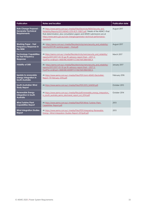| <b>Publication</b>                                                                 | <b>Notes and location</b>                                                                                                                                                                                                                                                                                                 | <b>Publication date</b> |
|------------------------------------------------------------------------------------|---------------------------------------------------------------------------------------------------------------------------------------------------------------------------------------------------------------------------------------------------------------------------------------------------------------------------|-------------------------|
| <b>Rule Change Proposal -</b><br><b>Generator Technical</b><br><b>Requirements</b> | At https://www.aemo.com.au/-/media/Files/Electricity/NEM/Security and<br>Reliability/Reports/2017/AEMO-GTR-RCP-110817.pdf. Details of the AEMC's final<br>Rule determination, plus consultation papers and AEMO submissions are at<br>https://www.aemc.gov.au/rule-changes/generator-technical-performance-<br>standards. | August 2017             |
| <b>Working Paper - Fast</b><br>Frequency Response in<br>the NEM                    | At https://aemo.com.au/-/media/files/electricity/nem/security and reliability/<br>reports/2017/ffr-working-paper---final.pdf.                                                                                                                                                                                             | August 2017             |
| <b>Technology Capabilities</b><br>for Fast Frequency<br>Response                   | At https://aemo.com.au/-/media/files/electricity/nem/security and reliability/<br>reports/2017/2017-03-10-ge-ffr-advisory-report-final---2017-3-<br>9.pdf?la=en&hash=468D48C40DBFF572166766F2B8A180C4.                                                                                                                    | March 2017              |
| <b>Visibility of DER</b>                                                           | At https://aemo.com.au/-/media/files/electricity/nem/security and reliability/<br>reports/2017/2017-03-10-ge-ffr-advisory-report-final---2017-3-<br>9.pdf?la=en&hash=468D48C40DBFF572166766F2B8A180C4.                                                                                                                    | January 2017            |
| <b>Update to renewable</b><br>energy integration in<br><b>South Australia</b>      | At https://www.aemo.com.au/-/media/Files/PDF/Joint-AEMO-ElectraNet-<br>Report 19-February-2016.pdf.                                                                                                                                                                                                                       | February 2016           |
| <b>South Australian Wind</b><br><b>Study Report</b>                                | At https://www.aemo.com.au/-/media/Files/PDF/2015 SAWSR.pdf.                                                                                                                                                                                                                                                              | October 2015            |
| <b>Renewable Energy</b><br><b>Integration in South</b><br><b>Australia</b>         | At https://www.aemo.com.au/-/media/files/pdf/renewable energy integration<br>in south australia aemo electranet report oct 2014.pdf.                                                                                                                                                                                      | October 2014            |
| <b>Wind Turbine Plant</b><br><b>Capabilities Report</b>                            | At https://www.aemo.com.au/-/media/Files/PDF/Wind Turbine Plant<br>Capabilities Report.pdf.                                                                                                                                                                                                                               | 2013                    |
| <b>Wind Integration Studies</b><br>Report                                          | At https://www.aemo.com.au/-/media/Files/PDF/Integrating-Renewable-<br>Energy--Wind-Integration-Studies-Report-2013pdf.pdf.                                                                                                                                                                                               | 2013                    |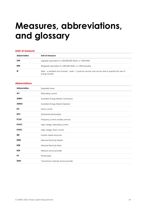## <span id="page-33-0"></span>**Measures, abbreviations, and glossary**

#### **Units of measure**

| Abbreviation | Unit of measure                                                                                                           |
|--------------|---------------------------------------------------------------------------------------------------------------------------|
| GW           | Gigawatt (equivalent to 1,000,000,000 Watts, or 1,000 MW)                                                                 |
| мw           | Megawatt (equivalent to 1,000,000 Watts, or 1,000 kilowatts)                                                              |
| W            | Watt – a standard unit of power. 1 watt = 1 joule per second, and can be used to quantify the rate of<br>energy transfer. |

#### **Abbreviations**

| <b>Abbreviation</b> | Expanded name                         |
|---------------------|---------------------------------------|
| <b>AC</b>           | Alternating current                   |
| <b>AEMC</b>         | Australian Energy Market Commission   |
| <b>AEMO</b>         | Australian Energy Market Operator     |
| <b>DC</b>           | Direct current                        |
| <b>DPV</b>          | Distributed photovoltaic              |
| <b>FCAS</b>         | Frequency control ancillary services  |
| <b>HVAC</b>         | High voltage, alternating current     |
| <b>HVDC</b>         | High voltage, direct current          |
| <b>IBR</b>          | Inverter-based resources              |
| <b>NEM</b>          | National Electricity Market           |
| <b>NER</b>          | National Electricity Rules            |
| <b>NSP</b>          | Network service provider              |
| <b>PV</b>           | Photovoltaic                          |
| <b>TNSP</b>         | Transmission network service provider |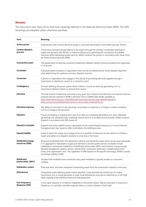#### **Glossary**

This document uses many terms that have meanings defined in the National Electricity Rules (NER). The NER meanings are adopted unless otherwise specified.

| Term                                           | Meaning                                                                                                                                                                                                                                                                                                                                                                                                                                                                                                                                                                 |
|------------------------------------------------|-------------------------------------------------------------------------------------------------------------------------------------------------------------------------------------------------------------------------------------------------------------------------------------------------------------------------------------------------------------------------------------------------------------------------------------------------------------------------------------------------------------------------------------------------------------------------|
| Active power                                   | Instantaneous rate at which electrical energy is consumed, generated or transmitted (see also 'Power').                                                                                                                                                                                                                                                                                                                                                                                                                                                                 |
| Central dispatch<br>process                    | This process maintains energy balance in the system through the centrally-coordinated matching of<br>supply and demand, with the aim to maximise efficiency by optimising the contribution of available<br>resources while maintaining system security. AEMO conducts this process in accordance with clause 3.8 of<br>the National Electricity Rules (NER).                                                                                                                                                                                                            |
| <b>Connection point</b>                        | The agreed point of electrical connection established between network service provider(s) and a generator<br>or consumer.                                                                                                                                                                                                                                                                                                                                                                                                                                               |
| Constraint                                     | A physical system limitation or requirement that must be considered by the central dispatch algorithm<br>when determining the optimum economic dispatch outcome.                                                                                                                                                                                                                                                                                                                                                                                                        |
| Consumer                                       | A person or organisation who engages in the activity of purchasing electricity supplied through a<br>transmission or distribution system to a connection point.                                                                                                                                                                                                                                                                                                                                                                                                         |
| Contingency                                    | An event affecting the power system which is likely to involve an electricity generating unit's or<br>transmission element's failure or removal from service.                                                                                                                                                                                                                                                                                                                                                                                                           |
| Demand                                         | The total amount of electricity consumed at any given time. Demand sub-definitions are used for technical<br>purposes and are outlined in AEMO's Demand Terms in EMMS Data Model, available at<br>https://www.aemo.com.au/-/media/files/electricity/nem/security and reliability/dispatch/<br>policy and process/2020/demand-terms-in-emms-data-model.pdf?la=en.                                                                                                                                                                                                        |
| <b>Demand response</b>                         | The ability of consumers to vary electricity consumption in response to a change in market conditions,<br>such as a change in the spot price.                                                                                                                                                                                                                                                                                                                                                                                                                           |
| <b>Dispatch</b>                                | The act of initiating or enabling all or part of an offer by a scheduled generating unit, semi-scheduled<br>generating unit, scheduled load, scheduled network service, or ancillary service provider. AEMO conducts<br>dispatch in accordance with NER clause 3.8.                                                                                                                                                                                                                                                                                                     |
| <b>Dispatch schedule</b>                       | Dispatch instructions AEMO issues to generators (in the central dispatch process) at 5-minute intervals<br>throughout each day, based on offers submitted in the bidding process.                                                                                                                                                                                                                                                                                                                                                                                       |
| <b>Dispatchability</b>                         | Extent to which the output of an energy resource or portfolio of resources can be relied on to 'follow a<br>target' and adhere to a dispatch schedule at some time in the future.                                                                                                                                                                                                                                                                                                                                                                                       |
| Distributed energy<br>resources (DER)          | Resources embedded within the distribution network and behind the meter which can be used individually<br>or in aggregate to help balance supply and demand or provide system services. Examples include<br>residential or commercial installations of distributed photovoltaic (DPV), wind turbines, energy storage,<br>demand management systems, electric vehicles (EVs), combustion generators, variable speed motor<br>drives, and cogeneration units. The capabilities of DER depend on the specific technology. AEMO currently<br>has limited visibility of DER. |
| <b>Distributed</b><br>photovoltaic (DPV)       | Includes both residential and commercial solar panel installations, typically located on consumers'<br>rooftops.                                                                                                                                                                                                                                                                                                                                                                                                                                                        |
| Distribution system                            | Poles and wires, and other equipment transporting power from the transmission network to end users.                                                                                                                                                                                                                                                                                                                                                                                                                                                                     |
| <b>Disturbance</b>                             | Unexpected events affecting power system operation. Large disturbances include loss of a major<br>transmission line or a large generator or load. Small disturbances arise due to switching on or off small<br>loads, tripping of less significant lines and small generators.                                                                                                                                                                                                                                                                                          |
| <b>Fast Frequency</b><br><b>Response (FFR)</b> | A very rapid response to re-balance megawatts on the power system. May be automatic in response to<br>frequency, or a centrally controlled response (that is, a control scheme to shed load).                                                                                                                                                                                                                                                                                                                                                                           |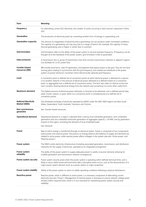| Term                                        | Meaning                                                                                                                                                                                                                                                                                                                                                                                                                                    |
|---------------------------------------------|--------------------------------------------------------------------------------------------------------------------------------------------------------------------------------------------------------------------------------------------------------------------------------------------------------------------------------------------------------------------------------------------------------------------------------------------|
| Frequency                                   | For alternating current (AC) electricity, the number of cycles occurring in each second, measured in Hertz<br>$(Hz)$ .                                                                                                                                                                                                                                                                                                                     |
| Generation                                  | The production of electrical power by converting another form of energy in a generating unit.                                                                                                                                                                                                                                                                                                                                              |
| <b>Generation capacity</b>                  | The amount (in megawatts) of electricity that a generating unit can produce under nominated conditions.<br>The capacity of a generating unit may vary due to a range of factors (for example, the capacity of many<br>thermal generating units is higher in winter than in summer).                                                                                                                                                        |
| <b>Grid formation</b>                       | Grid formation refers to the ability of the power system to set and maintain frequency. If frequency can be<br>thought of as the heartbeat of the power system, grid formation is like its pacemaker.                                                                                                                                                                                                                                      |
| Interconnector                              | A transmission line or group of transmission lines that connects transmission networks in adjacent regions.<br>Can facilitate AC or DC power flow.                                                                                                                                                                                                                                                                                         |
| Inverter-based<br>resources (IBR)           | IBR include wind farms, solar PV generators, and batteries that export power to the grid. They do not have<br>moving parts rotating in synchronism with the grid frequency, but instead are interfaced to the power<br>system via power electronic converters which electronically replicate grid frequency.                                                                                                                               |
| Load                                        | A connection point or defined set of connection points at which electrical power is delivered to a person<br>or to another network or the amount of electrical power delivered at a defined instant at a connection<br>point, or aggregated over a defined set of connection points. The term also refers to devices at the end<br>user's location drawing electrical energy from the network and converting it to some other useful form. |
| Maximum demand                              | The highest amount of electrical power delivered, or forecast to be delivered, over a defined period (day,<br>week, month, season, or year), either at a connection point or simultaneously at a defined set of<br>connection points.                                                                                                                                                                                                      |
| <b>National Electricity</b><br>Market (NEM) | The wholesale exchange of electricity operated by AEMO under the NER. NEM regions are New South<br>Wales, Queensland, South Australia, Tasmania, and Victoria.                                                                                                                                                                                                                                                                             |
| Non-synchronous<br>generator                | See 'Inverter-based resources'.                                                                                                                                                                                                                                                                                                                                                                                                            |
| <b>Operational demand</b>                   | Operational demand in a region is demand that is met by local scheduled generation, semi-scheduled<br>generation and non-scheduled wind/solar generation of aggregate capacity ≥ 30 MW, and by generation<br>imports to the region, excluding the demand of local scheduled loads.                                                                                                                                                         |
|                                             | See 'Demand'.                                                                                                                                                                                                                                                                                                                                                                                                                              |
| Power                                       | Rate at which energy is transferred through an electrical system. Power is comprised of two components:<br>active power and reactive power. Discussions on energy balance (the balance of supply and demand) are<br>related to active power, while reactive power affects voltages in the system (see also 'Active power' and<br>'Reactive power').                                                                                        |
| Power system                                | The NEM's entire electricity infrastructure (including associated generation, transmission, and distribution<br>networks) for the supply of electricity, operated as an integrated arrangement.                                                                                                                                                                                                                                            |
| Power system<br>reliability                 | The ability of the power system to supply adequate power to satisfy consumer demand, allowing for<br>credible generation and transmission network contingencies.                                                                                                                                                                                                                                                                           |
| Power system security                       | Power system security arises when the power system is operating within defined technical limits, and is<br>likely to return within those technical limits after a disruptive event occurs, such as the disconnection of a<br>major power system element (such as a power station or major powerline).                                                                                                                                      |
| Power system stability                      | Ability of the power system to return to stable operating conditions following a physical disturbance.                                                                                                                                                                                                                                                                                                                                     |
| <b>Reactive power</b>                       | Reactive power, which is different to active power, is a necessary component of alternating current<br>electricity (see also 'Power'). Management of reactive power is necessary to ensure network voltage levels<br>remains within required limits, which is in turn essential for maintaining power system security and<br>reliability.                                                                                                  |